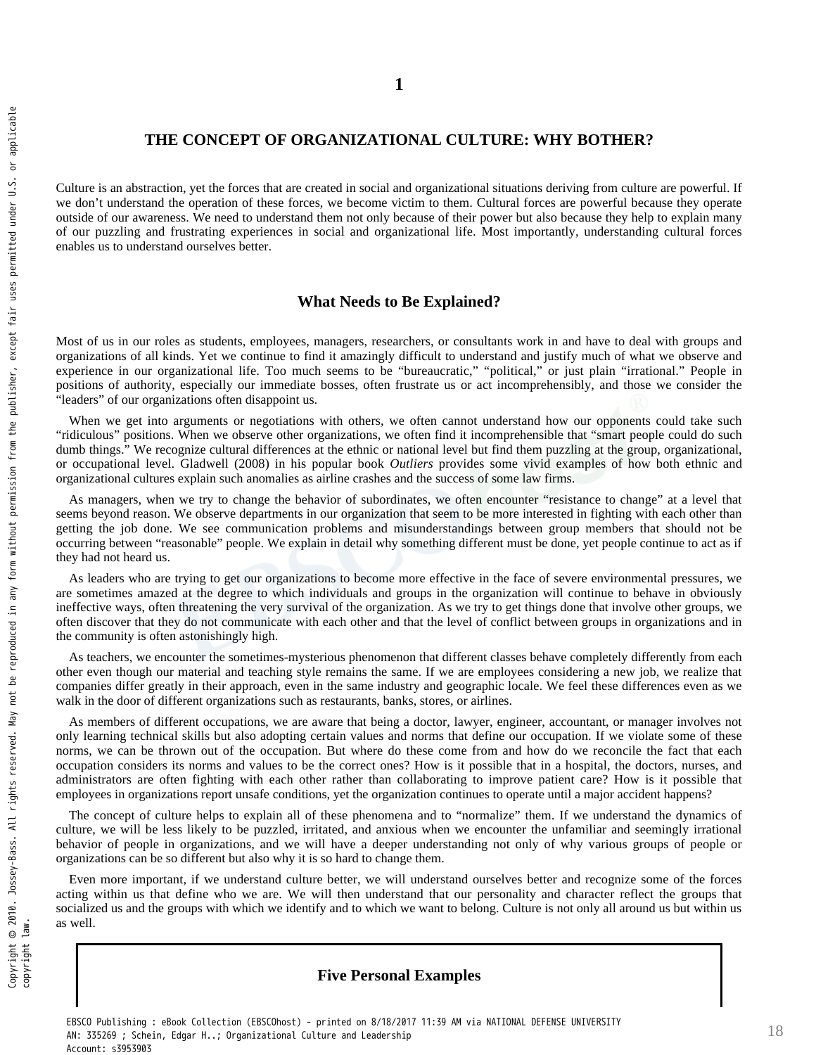# **THE CONCEPT OF ORGANIZATIONAL CULTURE: WHY BOTHER?**

Culture is an abstraction, yet the forces that are created in social and organizational situations deriving from culture are powerful. If we don't understand the operation of these forces, we become victim to them. Cultural forces are powerful because they operate outside of our awareness. We need to understand them not only because of their power but also because they help to explain many of our puzzling and frustrating experiences in social and organizational life. Most importantly, understanding cultural forces enables us to understand ourselves better.

# **What Needs to Be Explained?**

Most of us in our roles as students, employees, managers, researchers, or consultants work in and have to deal with groups and organizations of all kinds. Yet we continue to find it amazingly difficult to understand and justify much of what we observe and experience in our organizational life. Too much seems to be "bureaucratic," "political," or just plain "irrational." People in positions of authority, especially our immediate bosses, often frustrate us or act incomprehensibly, and those we consider the "leaders" of our organizations often disappoint us.

When we get into arguments or negotiations with others, we often cannot understand how our opponents could take such "ridiculous" positions. When we observe other organizations, we often find it incomprehensible that "smart people could do such dumb things." We recognize cultural differences at the ethnic or national level but find them puzzling at the group, organizational, or occupational level. Gladwell (2008) in his popular book *Outliers* provides some vivid examples of how both ethnic and organizational cultures explain such anomalies as airline crashes and the success of some law firms.

As managers, when we try to change the behavior of subordinates, we often encounter "resistance to change" at a level that seems beyond reason. We observe departments in our organization that seem to be more interested in fighting with each other than getting the job done. We see communication problems and misunderstandings between group members that should not be occurring between "reasonable" people. We explain in detail why something different must be done, yet people continue to act as if they had not heard us.

As leaders who are trying to get our organizations to become more effective in the face of severe environmental pressures, we are sometimes amazed at the degree to which individuals and groups in the organization will continue to behave in obviously ineffective ways, often threatening the very survival of the organization. As we try to get things done that involve other groups, we often discover that they do not communicate with each other and that the level of conflict between groups in organizations and in the community is often astonishingly high.

As teachers, we encounter the sometimes-mysterious phenomenon that different classes behave completely differently from each other even though our material and teaching style remains the same. If we are employees considering a new job, we realize that companies differ greatly in their approach, even in the same industry and geographic locale. We feel these differences even as we walk in the door of different organizations such as restaurants, banks, stores, or airlines.

As members of different occupations, we are aware that being a doctor, lawyer, engineer, accountant, or manager involves not only learning technical skills but also adopting certain values and norms that define our occupation. If we violate some of these norms, we can be thrown out of the occupation. But where do these come from and how do we reconcile the fact that each occupation considers its norms and values to be the correct ones? How is it possible that in a hospital, the doctors, nurses, and administrators are often fighting with each other rather than collaborating to improve patient care? How is it possible that employees in organizations report unsafe conditions, yet the organization continues to operate until a major accident happens?

The concept of culture helps to explain all of these phenomena and to "normalize" them. If we understand the dynamics of culture, we will be less likely to be puzzled, irritated, and anxious when we encounter the unfamiliar and seemingly irrational behavior of people in organizations, and we will have a deeper understanding not only of why various groups of people or organizations can be so different but also why it is so hard to change them.

Even more important, if we understand culture better, we will understand ourselves better and recognize some of the forces acting within us that define who we are. We will then understand that our personality and character reflect the groups that socialized us and the groups with which we identify and to which we want to belong. Culture is not only all around us but within us as well.

### **Five Personal Examples**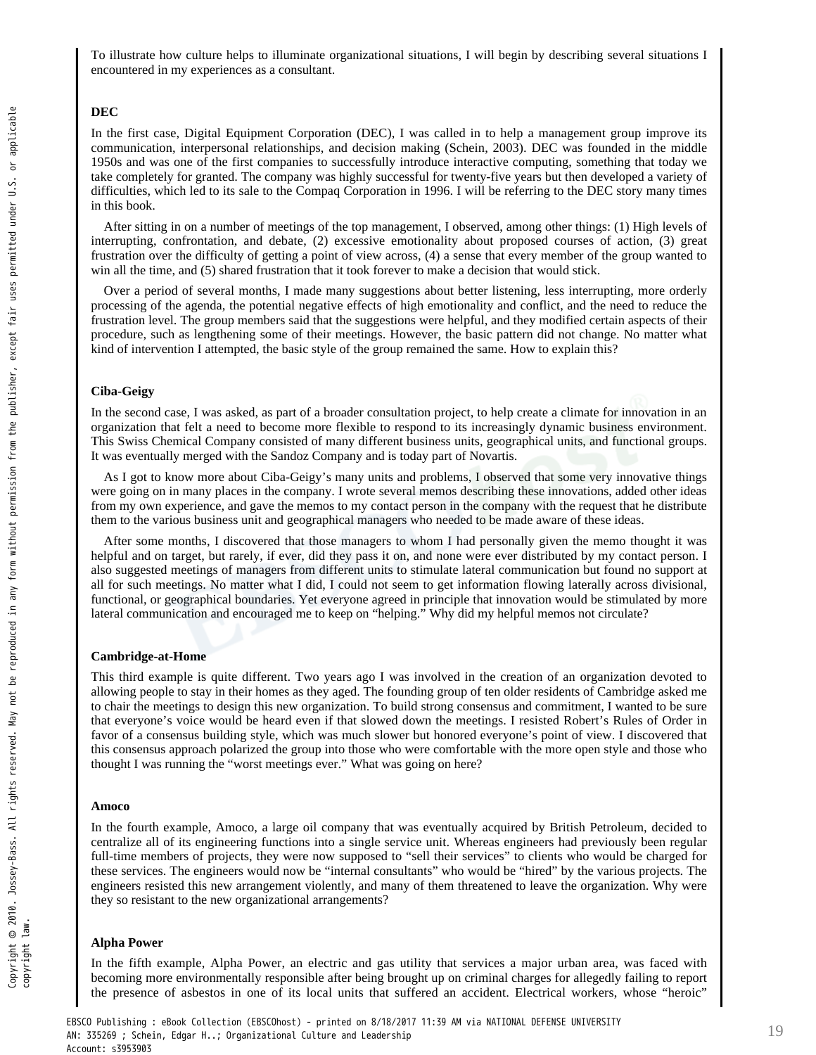To illustrate how culture helps to illuminate organizational situations, I will begin by describing several situations I encountered in my experiences as a consultant.

### **DEC**

In the first case, Digital Equipment Corporation (DEC), I was called in to help a management group improve its communication, interpersonal relationships, and decision making (Schein, 2003). DEC was founded in the middle 1950s and was one of the first companies to successfully introduce interactive computing, something that today we take completely for granted. The company was highly successful for twenty-five years but then developed a variety of difficulties, which led to its sale to the Compaq Corporation in 1996. I will be referring to the DEC story many times in this book.

After sitting in on a number of meetings of the top management, I observed, among other things: (1) High levels of interrupting, confrontation, and debate, (2) excessive emotionality about proposed courses of action, (3) great frustration over the difficulty of getting a point of view across, (4) a sense that every member of the group wanted to win all the time, and (5) shared frustration that it took forever to make a decision that would stick.

Over a period of several months, I made many suggestions about better listening, less interrupting, more orderly processing of the agenda, the potential negative effects of high emotionality and conflict, and the need to reduce the frustration level. The group members said that the suggestions were helpful, and they modified certain aspects of their procedure, such as lengthening some of their meetings. However, the basic pattern did not change. No matter what kind of intervention I attempted, the basic style of the group remained the same. How to explain this?

### **Ciba-Geigy**

In the second case, I was asked, as part of a broader consultation project, to help create a climate for innovation in an organization that felt a need to become more flexible to respond to its increasingly dynamic business environment. This Swiss Chemical Company consisted of many different business units, geographical units, and functional groups. It was eventually merged with the Sandoz Company and is today part of Novartis.

As I got to know more about Ciba-Geigy's many units and problems, I observed that some very innovative things were going on in many places in the company. I wrote several memos describing these innovations, added other ideas from my own experience, and gave the memos to my contact person in the company with the request that he distribute them to the various business unit and geographical managers who needed to be made aware of these ideas.

After some months, I discovered that those managers to whom I had personally given the memo thought it was helpful and on target, but rarely, if ever, did they pass it on, and none were ever distributed by my contact person. I also suggested meetings of managers from different units to stimulate lateral communication but found no support at all for such meetings. No matter what I did, I could not seem to get information flowing laterally across divisional, functional, or geographical boundaries. Yet everyone agreed in principle that innovation would be stimulated by more lateral communication and encouraged me to keep on "helping." Why did my helpful memos not circulate?

### **Cambridge-at-Home**

This third example is quite different. Two years ago I was involved in the creation of an organization devoted to allowing people to stay in their homes as they aged. The founding group of ten older residents of Cambridge asked me to chair the meetings to design this new organization. To build strong consensus and commitment, I wanted to be sure that everyone's voice would be heard even if that slowed down the meetings. I resisted Robert's Rules of Order in favor of a consensus building style, which was much slower but honored everyone's point of view. I discovered that this consensus approach polarized the group into those who were comfortable with the more open style and those who thought I was running the "worst meetings ever." What was going on here?

#### **Amoco**

In the fourth example, Amoco, a large oil company that was eventually acquired by British Petroleum, decided to centralize all of its engineering functions into a single service unit. Whereas engineers had previously been regular full-time members of projects, they were now supposed to "sell their services" to clients who would be charged for these services. The engineers would now be "internal consultants" who would be "hired" by the various projects. The engineers resisted this new arrangement violently, and many of them threatened to leave the organization. Why were they so resistant to the new organizational arrangements?

### **Alpha Power**

In the fifth example, Alpha Power, an electric and gas utility that services a major urban area, was faced with becoming more environmentally responsible after being brought up on criminal charges for allegedly failing to report the presence of asbestos in one of its local units that suffered an accident. Electrical workers, whose "heroic"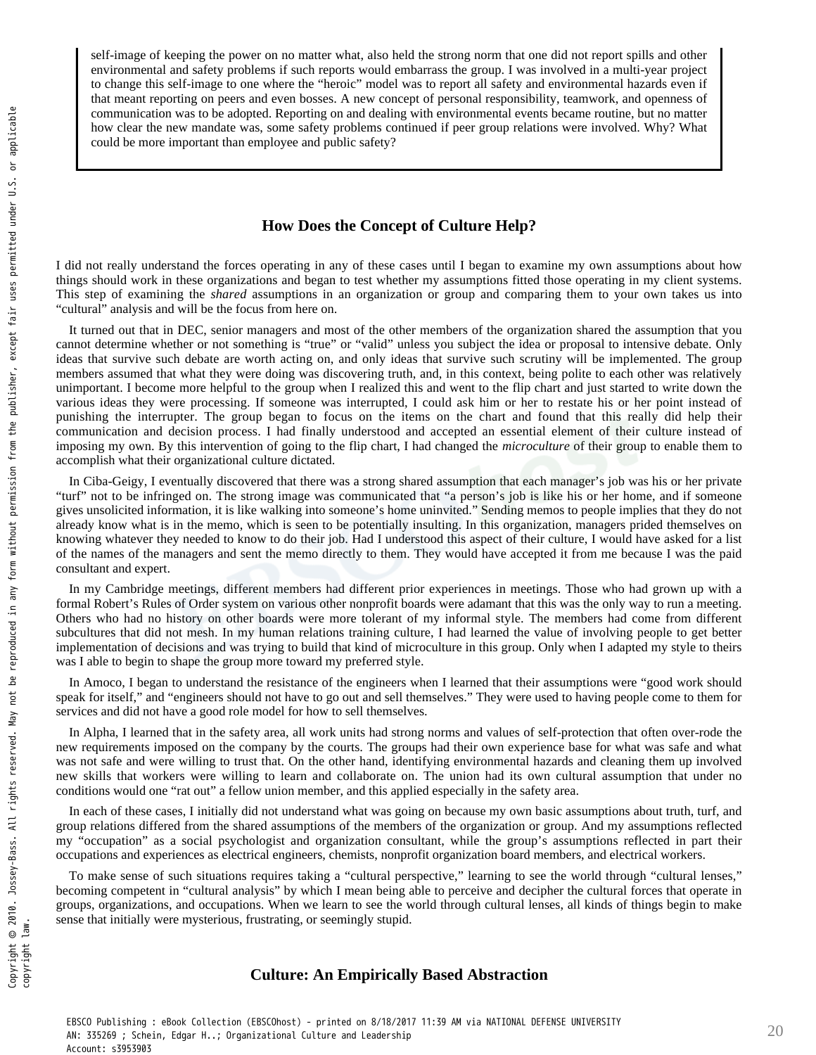self-image of keeping the power on no matter what, also held the strong norm that one did not report spills and other environmental and safety problems if such reports would embarrass the group. I was involved in a multi-year project to change this self-image to one where the "heroic" model was to report all safety and environmental hazards even if that meant reporting on peers and even bosses. A new concept of personal responsibility, teamwork, and openness of communication was to be adopted. Reporting on and dealing with environmental events became routine, but no matter how clear the new mandate was, some safety problems continued if peer group relations were involved. Why? What could be more important than employee and public safety?

# **How Does the Concept of Culture Help?**

I did not really understand the forces operating in any of these cases until I began to examine my own assumptions about how things should work in these organizations and began to test whether my assumptions fitted those operating in my client systems. This step of examining the *shared* assumptions in an organization or group and comparing them to your own takes us into "cultural" analysis and will be the focus from here on.

It turned out that in DEC, senior managers and most of the other members of the organization shared the assumption that you cannot determine whether or not something is "true" or "valid" unless you subject the idea or proposal to intensive debate. Only ideas that survive such debate are worth acting on, and only ideas that survive such scrutiny will be implemented. The group members assumed that what they were doing was discovering truth, and, in this context, being polite to each other was relatively unimportant. I become more helpful to the group when I realized this and went to the flip chart and just started to write down the various ideas they were processing. If someone was interrupted, I could ask him or her to restate his or her point instead of punishing the interrupter. The group began to focus on the items on the chart and found that this really did help their communication and decision process. I had finally understood and accepted an essential element of their culture instead of imposing my own. By this intervention of going to the flip chart, I had changed the *microculture* of their group to enable them to accomplish what their organizational culture dictated.

In Ciba-Geigy, I eventually discovered that there was a strong shared assumption that each manager's job was his or her private "turf" not to be infringed on. The strong image was communicated that "a person's job is like his or her home, and if someone gives unsolicited information, it is like walking into someone's home uninvited." Sending memos to people implies that they do not already know what is in the memo, which is seen to be potentially insulting. In this organization, managers prided themselves on knowing whatever they needed to know to do their job. Had I understood this aspect of their culture, I would have asked for a list of the names of the managers and sent the memo directly to them. They would have accepted it from me because I was the paid consultant and expert.

In my Cambridge meetings, different members had different prior experiences in meetings. Those who had grown up with a formal Robert's Rules of Order system on various other nonprofit boards were adamant that this was the only way to run a meeting. Others who had no history on other boards were more tolerant of my informal style. The members had come from different subcultures that did not mesh. In my human relations training culture, I had learned the value of involving people to get better implementation of decisions and was trying to build that kind of microculture in this group. Only when I adapted my style to theirs was I able to begin to shape the group more toward my preferred style.

In Amoco, I began to understand the resistance of the engineers when I learned that their assumptions were "good work should speak for itself," and "engineers should not have to go out and sell themselves." They were used to having people come to them for services and did not have a good role model for how to sell themselves.

In Alpha, I learned that in the safety area, all work units had strong norms and values of self-protection that often over-rode the new requirements imposed on the company by the courts. The groups had their own experience base for what was safe and what was not safe and were willing to trust that. On the other hand, identifying environmental hazards and cleaning them up involved new skills that workers were willing to learn and collaborate on. The union had its own cultural assumption that under no conditions would one "rat out" a fellow union member, and this applied especially in the safety area.

In each of these cases, I initially did not understand what was going on because my own basic assumptions about truth, turf, and group relations differed from the shared assumptions of the members of the organization or group. And my assumptions reflected my "occupation" as a social psychologist and organization consultant, while the group's assumptions reflected in part their occupations and experiences as electrical engineers, chemists, nonprofit organization board members, and electrical workers.

To make sense of such situations requires taking a "cultural perspective," learning to see the world through "cultural lenses," becoming competent in "cultural analysis" by which I mean being able to perceive and decipher the cultural forces that operate in groups, organizations, and occupations. When we learn to see the world through cultural lenses, all kinds of things begin to make sense that initially were mysterious, frustrating, or seemingly stupid.

### **Culture: An Empirically Based Abstraction**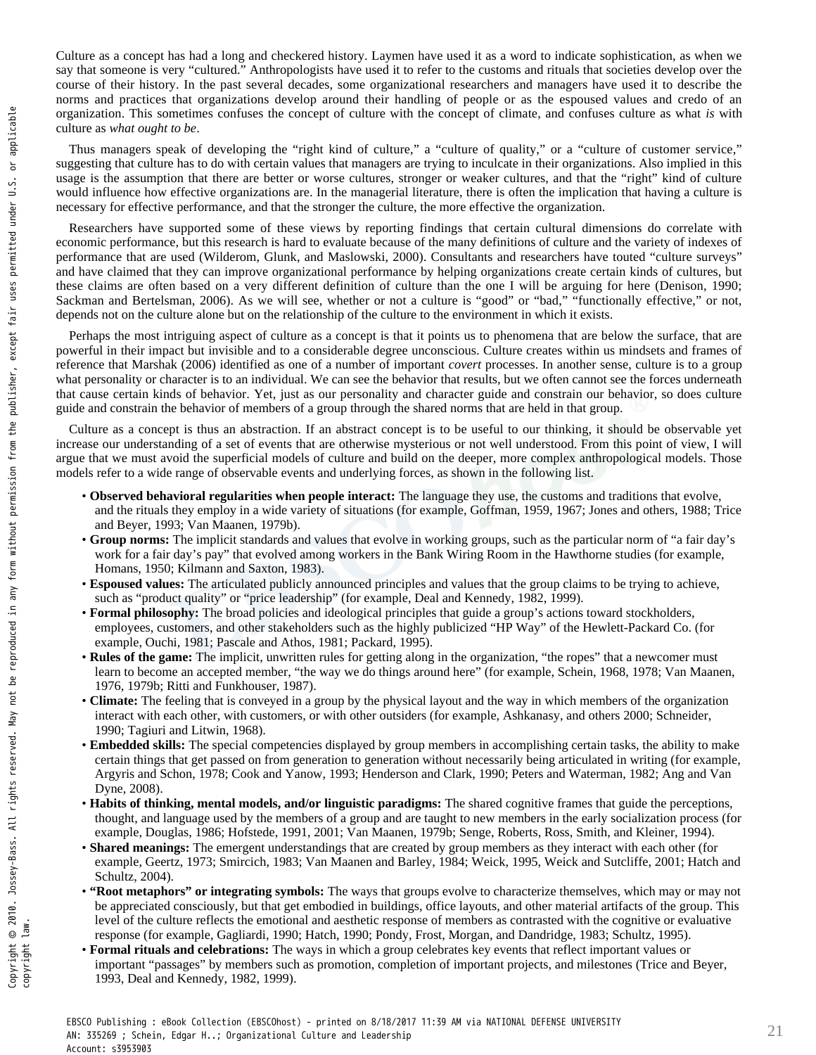Culture as a concept has had a long and checkered history. Laymen have used it as a word to indicate sophistication, as when we say that someone is very "cultured." Anthropologists have used it to refer to the customs and rituals that societies develop over the course of their history. In the past several decades, some organizational researchers and managers have used it to describe the norms and practices that organizations develop around their handling of people or as the espoused values and credo of an organization. This sometimes confuses the concept of culture with the concept of climate, and confuses culture as what *is* with culture as *what ought to be*.

Thus managers speak of developing the "right kind of culture," a "culture of quality," or a "culture of customer service," suggesting that culture has to do with certain values that managers are trying to inculcate in their organizations. Also implied in this usage is the assumption that there are better or worse cultures, stronger or weaker cultures, and that the "right" kind of culture would influence how effective organizations are. In the managerial literature, there is often the implication that having a culture is necessary for effective performance, and that the stronger the culture, the more effective the organization.

Researchers have supported some of these views by reporting findings that certain cultural dimensions do correlate with economic performance, but this research is hard to evaluate because of the many definitions of culture and the variety of indexes of performance that are used (Wilderom, Glunk, and Maslowski, 2000). Consultants and researchers have touted "culture surveys" and have claimed that they can improve organizational performance by helping organizations create certain kinds of cultures, but these claims are often based on a very different definition of culture than the one I will be arguing for here (Denison, 1990; Sackman and Bertelsman, 2006). As we will see, whether or not a culture is "good" or "bad," "functionally effective," or not, depends not on the culture alone but on the relationship of the culture to the environment in which it exists.

Perhaps the most intriguing aspect of culture as a concept is that it points us to phenomena that are below the surface, that are powerful in their impact but invisible and to a considerable degree unconscious. Culture creates within us mindsets and frames of reference that Marshak (2006) identified as one of a number of important *covert* processes. In another sense, culture is to a group what personality or character is to an individual. We can see the behavior that results, but we often cannot see the forces underneath that cause certain kinds of behavior. Yet, just as our personality and character guide and constrain our behavior, so does culture guide and constrain the behavior of members of a group through the shared norms that are held in that group.

Culture as a concept is thus an abstraction. If an abstract concept is to be useful to our thinking, it should be observable yet increase our understanding of a set of events that are otherwise mysterious or not well understood. From this point of view, I will argue that we must avoid the superficial models of culture and build on the deeper, more complex anthropological models. Those models refer to a wide range of observable events and underlying forces, as shown in the following list.

- **Observed behavioral regularities when people interact:** The language they use, the customs and traditions that evolve, and the rituals they employ in a wide variety of situations (for example, Goffman, 1959, 1967; Jones and others, 1988; Trice and Beyer, 1993; Van Maanen, 1979b).
- **Group norms:** The implicit standards and values that evolve in working groups, such as the particular norm of "a fair day's work for a fair day's pay" that evolved among workers in the Bank Wiring Room in the Hawthorne studies (for example, Homans, 1950; Kilmann and Saxton, 1983).
- **Espoused values:** The articulated publicly announced principles and values that the group claims to be trying to achieve, such as "product quality" or "price leadership" (for example, Deal and Kennedy, 1982, 1999).
- **Formal philosophy:** The broad policies and ideological principles that guide a group's actions toward stockholders, employees, customers, and other stakeholders such as the highly publicized "HP Way" of the Hewlett-Packard Co. (for example, Ouchi, 1981; Pascale and Athos, 1981; Packard, 1995).
- **Rules of the game:** The implicit, unwritten rules for getting along in the organization, "the ropes" that a newcomer must learn to become an accepted member, "the way we do things around here" (for example, Schein, 1968, 1978; Van Maanen, 1976, 1979b; Ritti and Funkhouser, 1987).
- **Climate:** The feeling that is conveyed in a group by the physical layout and the way in which members of the organization interact with each other, with customers, or with other outsiders (for example, Ashkanasy, and others 2000; Schneider, 1990; Tagiuri and Litwin, 1968).
- **Embedded skills:** The special competencies displayed by group members in accomplishing certain tasks, the ability to make certain things that get passed on from generation to generation without necessarily being articulated in writing (for example, Argyris and Schon, 1978; Cook and Yanow, 1993; Henderson and Clark, 1990; Peters and Waterman, 1982; Ang and Van Dyne, 2008).
- **Habits of thinking, mental models, and/or linguistic paradigms:** The shared cognitive frames that guide the perceptions, thought, and language used by the members of a group and are taught to new members in the early socialization process (for example, Douglas, 1986; Hofstede, 1991, 2001; Van Maanen, 1979b; Senge, Roberts, Ross, Smith, and Kleiner, 1994).
- **Shared meanings:** The emergent understandings that are created by group members as they interact with each other (for example, Geertz, 1973; Smircich, 1983; Van Maanen and Barley, 1984; Weick, 1995, Weick and Sutcliffe, 2001; Hatch and Schultz, 2004).
- **"Root metaphors" or integrating symbols:** The ways that groups evolve to characterize themselves, which may or may not be appreciated consciously, but that get embodied in buildings, office layouts, and other material artifacts of the group. This level of the culture reflects the emotional and aesthetic response of members as contrasted with the cognitive or evaluative response (for example, Gagliardi, 1990; Hatch, 1990; Pondy, Frost, Morgan, and Dandridge, 1983; Schultz, 1995).
- **Formal rituals and celebrations:** The ways in which a group celebrates key events that reflect important values or important "passages" by members such as promotion, completion of important projects, and milestones (Trice and Beyer, 1993, Deal and Kennedy, 1982, 1999).

Copyright © 2010. Jossey-Bass. All rights reserved. May not be reproduced in any form without permission from the publisher, except fair uses permitted under U.S. or applicable

Copyright ⊚ 2010. Jossey-Bass. All rights reserved. May not be reproduced in any form without permission from the publisher, except fair uses permitted under U.S. or applicable<br>copyright law.

copyright law.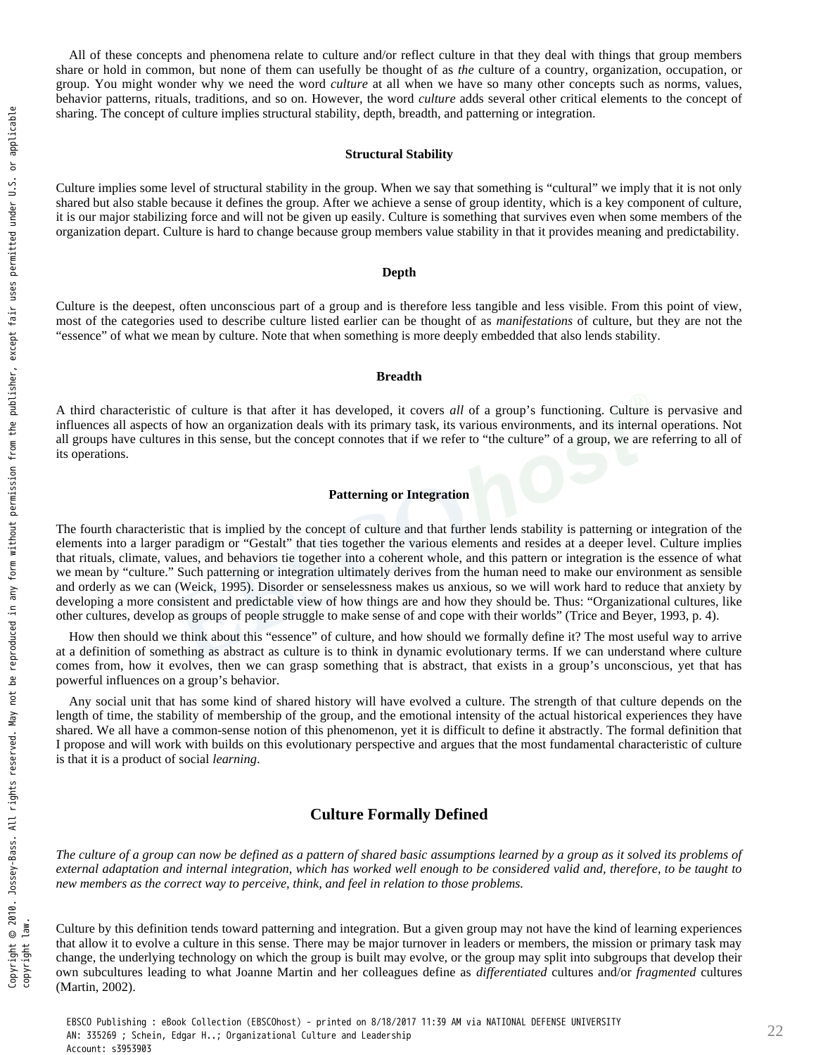All of these concepts and phenomena relate to culture and/or reflect culture in that they deal with things that group members share or hold in common, but none of them can usefully be thought of as *the* culture of a country, organization, occupation, or group. You might wonder why we need the word *culture* at all when we have so many other concepts such as norms, values, behavior patterns, rituals, traditions, and so on. However, the word *culture* adds several other critical elements to the concept of sharing. The concept of culture implies structural stability, depth, breadth, and patterning or integration.

### **Structural Stability**

Culture implies some level of structural stability in the group. When we say that something is "cultural" we imply that it is not only shared but also stable because it defines the group. After we achieve a sense of group identity, which is a key component of culture, it is our major stabilizing force and will not be given up easily. Culture is something that survives even when some members of the organization depart. Culture is hard to change because group members value stability in that it provides meaning and predictability.

#### **Depth**

Culture is the deepest, often unconscious part of a group and is therefore less tangible and less visible. From this point of view, most of the categories used to describe culture listed earlier can be thought of as *manifestations* of culture, but they are not the "essence" of what we mean by culture. Note that when something is more deeply embedded that also lends stability.

#### **Breadth**

A third characteristic of culture is that after it has developed, it covers *all* of a group's functioning. Culture is pervasive and influences all aspects of how an organization deals with its primary task, its various environments, and its internal operations. Not all groups have cultures in this sense, but the concept connotes that if we refer to "the culture" of a group, we are referring to all of its operations.

### **Patterning or Integration**

The fourth characteristic that is implied by the concept of culture and that further lends stability is patterning or integration of the elements into a larger paradigm or "Gestalt" that ties together the various elements and resides at a deeper level. Culture implies that rituals, climate, values, and behaviors tie together into a coherent whole, and this pattern or integration is the essence of what we mean by "culture." Such patterning or integration ultimately derives from the human need to make our environment as sensible and orderly as we can (Weick, 1995). Disorder or senselessness makes us anxious, so we will work hard to reduce that anxiety by developing a more consistent and predictable view of how things are and how they should be. Thus: "Organizational cultures, like other cultures, develop as groups of people struggle to make sense of and cope with their worlds" (Trice and Beyer, 1993, p. 4).

How then should we think about this "essence" of culture, and how should we formally define it? The most useful way to arrive at a definition of something as abstract as culture is to think in dynamic evolutionary terms. If we can understand where culture comes from, how it evolves, then we can grasp something that is abstract, that exists in a group's unconscious, yet that has powerful influences on a group's behavior.

Any social unit that has some kind of shared history will have evolved a culture. The strength of that culture depends on the length of time, the stability of membership of the group, and the emotional intensity of the actual historical experiences they have shared. We all have a common-sense notion of this phenomenon, yet it is difficult to define it abstractly. The formal definition that I propose and will work with builds on this evolutionary perspective and argues that the most fundamental characteristic of culture is that it is a product of social *learning*.

## **Culture Formally Defined**

*The culture of a group can now be defined as a pattern of shared basic assumptions learned by a group as it solved its problems of external adaptation and internal integration, which has worked well enough to be considered valid and, therefore, to be taught to new members as the correct way to perceive, think, and feel in relation to those problems.*

Culture by this definition tends toward patterning and integration. But a given group may not have the kind of learning experiences that allow it to evolve a culture in this sense. There may be major turnover in leaders or members, the mission or primary task may change, the underlying technology on which the group is built may evolve, or the group may split into subgroups that develop their own subcultures leading to what Joanne Martin and her colleagues define as *differentiated* cultures and/or *fragmented* cultures (Martin, 2002).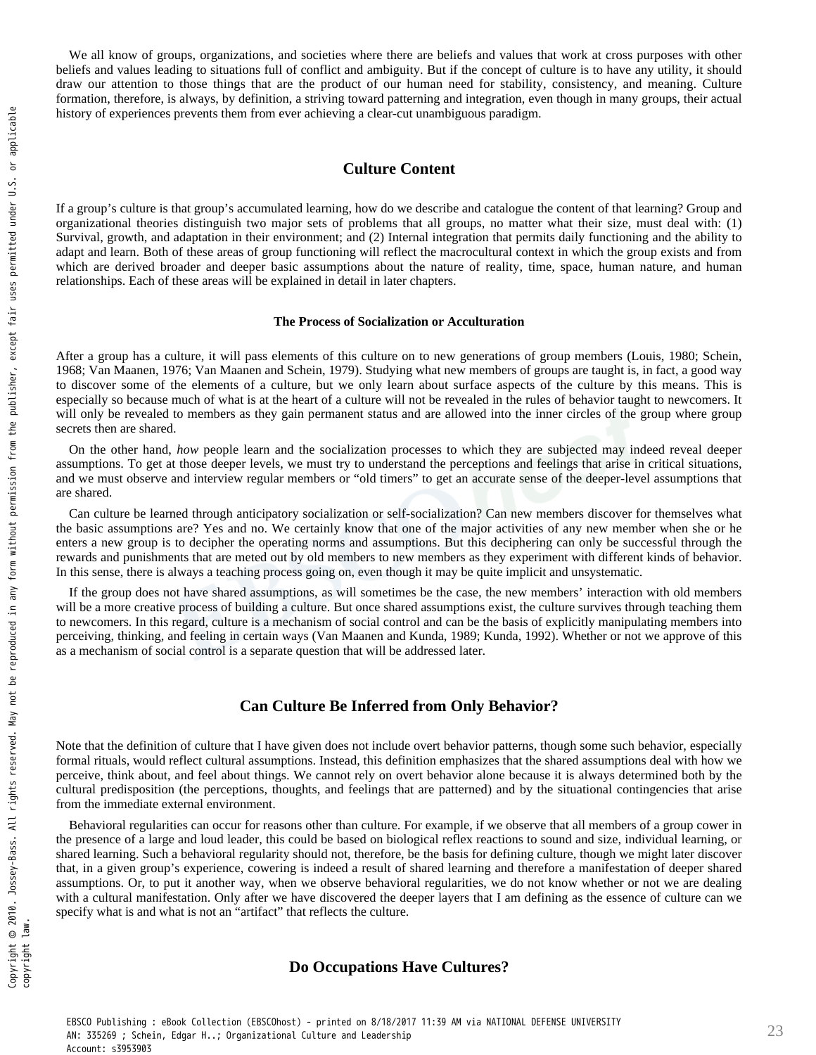Copyright ⊚ 2010. Jossey-Bass. All rights reserved. May not be reproduced in any form without permission from the publisher, except fair uses permitted under U.S. or applicable<br>copyright law. Copyright © 2010. Jossey-Bass. All rights reserved. May not be reproduced in any form without permission from the publisher, except fair uses permitted under U.S. or applicable copyright law.

We all know of groups, organizations, and societies where there are beliefs and values that work at cross purposes with other beliefs and values leading to situations full of conflict and ambiguity. But if the concept of culture is to have any utility, it should draw our attention to those things that are the product of our human need for stability, consistency, and meaning. Culture formation, therefore, is always, by definition, a striving toward patterning and integration, even though in many groups, their actual history of experiences prevents them from ever achieving a clear-cut unambiguous paradigm.

# **Culture Content**

If a group's culture is that group's accumulated learning, how do we describe and catalogue the content of that learning? Group and organizational theories distinguish two major sets of problems that all groups, no matter what their size, must deal with: (1) Survival, growth, and adaptation in their environment; and (2) Internal integration that permits daily functioning and the ability to adapt and learn. Both of these areas of group functioning will reflect the macrocultural context in which the group exists and from which are derived broader and deeper basic assumptions about the nature of reality, time, space, human nature, and human relationships. Each of these areas will be explained in detail in later chapters.

#### **The Process of Socialization or Acculturation**

After a group has a culture, it will pass elements of this culture on to new generations of group members (Louis, 1980; Schein, 1968; Van Maanen, 1976; Van Maanen and Schein, 1979). Studying what new members of groups are taught is, in fact, a good way to discover some of the elements of a culture, but we only learn about surface aspects of the culture by this means. This is especially so because much of what is at the heart of a culture will not be revealed in the rules of behavior taught to newcomers. It will only be revealed to members as they gain permanent status and are allowed into the inner circles of the group where group secrets then are shared.

On the other hand, *how* people learn and the socialization processes to which they are subjected may indeed reveal deeper assumptions. To get at those deeper levels, we must try to understand the perceptions and feelings that arise in critical situations, and we must observe and interview regular members or "old timers" to get an accurate sense of the deeper-level assumptions that are shared.

Can culture be learned through anticipatory socialization or self-socialization? Can new members discover for themselves what the basic assumptions are? Yes and no. We certainly know that one of the major activities of any new member when she or he enters a new group is to decipher the operating norms and assumptions. But this deciphering can only be successful through the rewards and punishments that are meted out by old members to new members as they experiment with different kinds of behavior. In this sense, there is always a teaching process going on, even though it may be quite implicit and unsystematic.

If the group does not have shared assumptions, as will sometimes be the case, the new members' interaction with old members will be a more creative process of building a culture. But once shared assumptions exist, the culture survives through teaching them to newcomers. In this regard, culture is a mechanism of social control and can be the basis of explicitly manipulating members into perceiving, thinking, and feeling in certain ways (Van Maanen and Kunda, 1989; Kunda, 1992). Whether or not we approve of this as a mechanism of social control is a separate question that will be addressed later.

### **Can Culture Be Inferred from Only Behavior?**

Note that the definition of culture that I have given does not include overt behavior patterns, though some such behavior, especially formal rituals, would reflect cultural assumptions. Instead, this definition emphasizes that the shared assumptions deal with how we perceive, think about, and feel about things. We cannot rely on overt behavior alone because it is always determined both by the cultural predisposition (the perceptions, thoughts, and feelings that are patterned) and by the situational contingencies that arise from the immediate external environment.

Behavioral regularities can occur for reasons other than culture. For example, if we observe that all members of a group cower in the presence of a large and loud leader, this could be based on biological reflex reactions to sound and size, individual learning, or shared learning. Such a behavioral regularity should not, therefore, be the basis for defining culture, though we might later discover that, in a given group's experience, cowering is indeed a result of shared learning and therefore a manifestation of deeper shared assumptions. Or, to put it another way, when we observe behavioral regularities, we do not know whether or not we are dealing with a cultural manifestation. Only after we have discovered the deeper layers that I am defining as the essence of culture can we specify what is and what is not an "artifact" that reflects the culture.

## **Do Occupations Have Cultures?**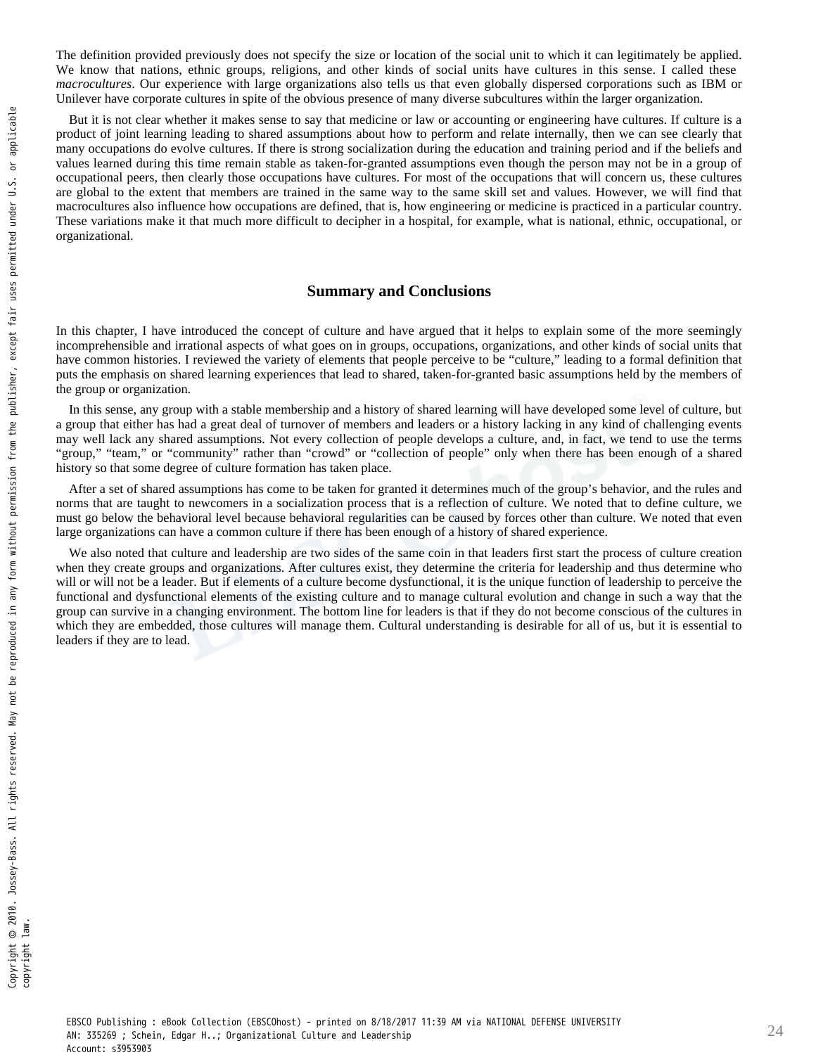The definition provided previously does not specify the size or location of the social unit to which it can legitimately be applied. We know that nations, ethnic groups, religions, and other kinds of social units have cultures in this sense. I called these *macrocultures*. Our experience with large organizations also tells us that even globally dispersed corporations such as IBM or Unilever have corporate cultures in spite of the obvious presence of many diverse subcultures within the larger organization.

But it is not clear whether it makes sense to say that medicine or law or accounting or engineering have cultures. If culture is a product of joint learning leading to shared assumptions about how to perform and relate internally, then we can see clearly that many occupations do evolve cultures. If there is strong socialization during the education and training period and if the beliefs and values learned during this time remain stable as taken-for-granted assumptions even though the person may not be in a group of occupational peers, then clearly those occupations have cultures. For most of the occupations that will concern us, these cultures are global to the extent that members are trained in the same way to the same skill set and values. However, we will find that macrocultures also influence how occupations are defined, that is, how engineering or medicine is practiced in a particular country. These variations make it that much more difficult to decipher in a hospital, for example, what is national, ethnic, occupational, or organizational.

## **Summary and Conclusions**

In this chapter, I have introduced the concept of culture and have argued that it helps to explain some of the more seemingly incomprehensible and irrational aspects of what goes on in groups, occupations, organizations, and other kinds of social units that have common histories. I reviewed the variety of elements that people perceive to be "culture," leading to a formal definition that puts the emphasis on shared learning experiences that lead to shared, taken-for-granted basic assumptions held by the members of the group or organization.

In this sense, any group with a stable membership and a history of shared learning will have developed some level of culture, but a group that either has had a great deal of turnover of members and leaders or a history lacking in any kind of challenging events may well lack any shared assumptions. Not every collection of people develops a culture, and, in fact, we tend to use the terms "group," "team," or "community" rather than "crowd" or "collection of people" only when there has been enough of a shared history so that some degree of culture formation has taken place.

After a set of shared assumptions has come to be taken for granted it determines much of the group's behavior, and the rules and norms that are taught to newcomers in a socialization process that is a reflection of culture. We noted that to define culture, we must go below the behavioral level because behavioral regularities can be caused by forces other than culture. We noted that even large organizations can have a common culture if there has been enough of a history of shared experience.

We also noted that culture and leadership are two sides of the same coin in that leaders first start the process of culture creation when they create groups and organizations. After cultures exist, they determine the criteria for leadership and thus determine who will or will not be a leader. But if elements of a culture become dysfunctional, it is the unique function of leadership to perceive the functional and dysfunctional elements of the existing culture and to manage cultural evolution and change in such a way that the group can survive in a changing environment. The bottom line for leaders is that if they do not become conscious of the cultures in which they are embedded, those cultures will manage them. Cultural understanding is desirable for all of us, but it is essential to leaders if they are to lead.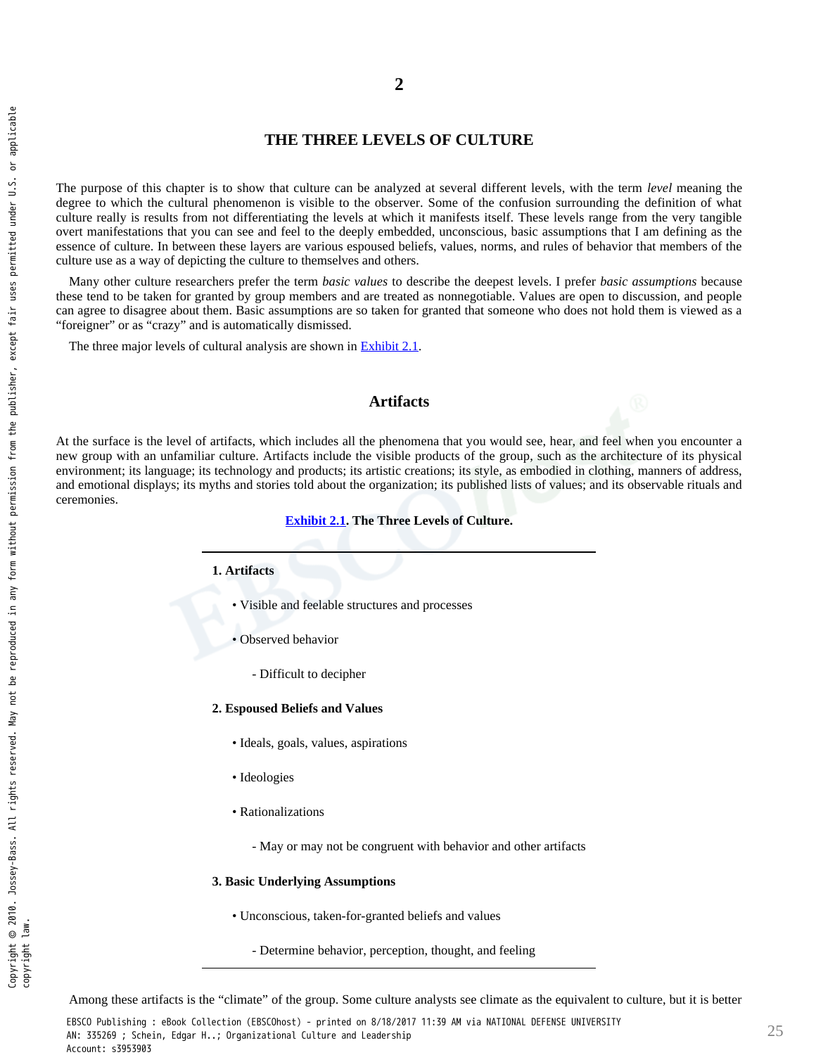# **THE THREE LEVELS OF CULTURE**

The purpose of this chapter is to show that culture can be analyzed at several different levels, with the term *level* meaning the degree to which the cultural phenomenon is visible to the observer. Some of the confusion surrounding the definition of what culture really is results from not differentiating the levels at which it manifests itself. These levels range from the very tangible overt manifestations that you can see and feel to the deeply embedded, unconscious, basic assumptions that I am defining as the essence of culture. In between these layers are various espoused beliefs, values, norms, and rules of behavior that members of the culture use as a way of depicting the culture to themselves and others.

Many other culture researchers prefer the term *basic values* to describe the deepest levels. I prefer *basic assumptions* because these tend to be taken for granted by group members and are treated as nonnegotiable. Values are open to discussion, and people can agree to disagree about them. Basic assumptions are so taken for granted that someone who does not hold them is viewed as a "foreigner" or as "crazy" and is automatically dismissed.

The three major levels of cultural analysis are shown in **Exhibit 2.1**.

## **Artifacts**

At the surface is the level of artifacts, which includes all the phenomena that you would see, hear, and feel when you encounter a new group with an unfamiliar culture. Artifacts include the visible products of the group, such as the architecture of its physical environment; its language; its technology and products; its artistic creations; its style, as embodied in clothing, manners of address, and emotional displays; its myths and stories told about the organization; its published lists of values; and its observable rituals and ceremonies.

# **Exhibit 2.1. The Three Levels of Culture.**

#### **1. Artifacts**

- Visible and feelable structures and processes
- Observed behavior
	- Difficult to decipher

#### **2. Espoused Beliefs and Values**

- Ideals, goals, values, aspirations
- Ideologies
- Rationalizations

- May or may not be congruent with behavior and other artifacts

### **3. Basic Underlying Assumptions**

• Unconscious, taken-for-granted beliefs and values



<sup>-</sup> Determine behavior, perception, thought, and feeling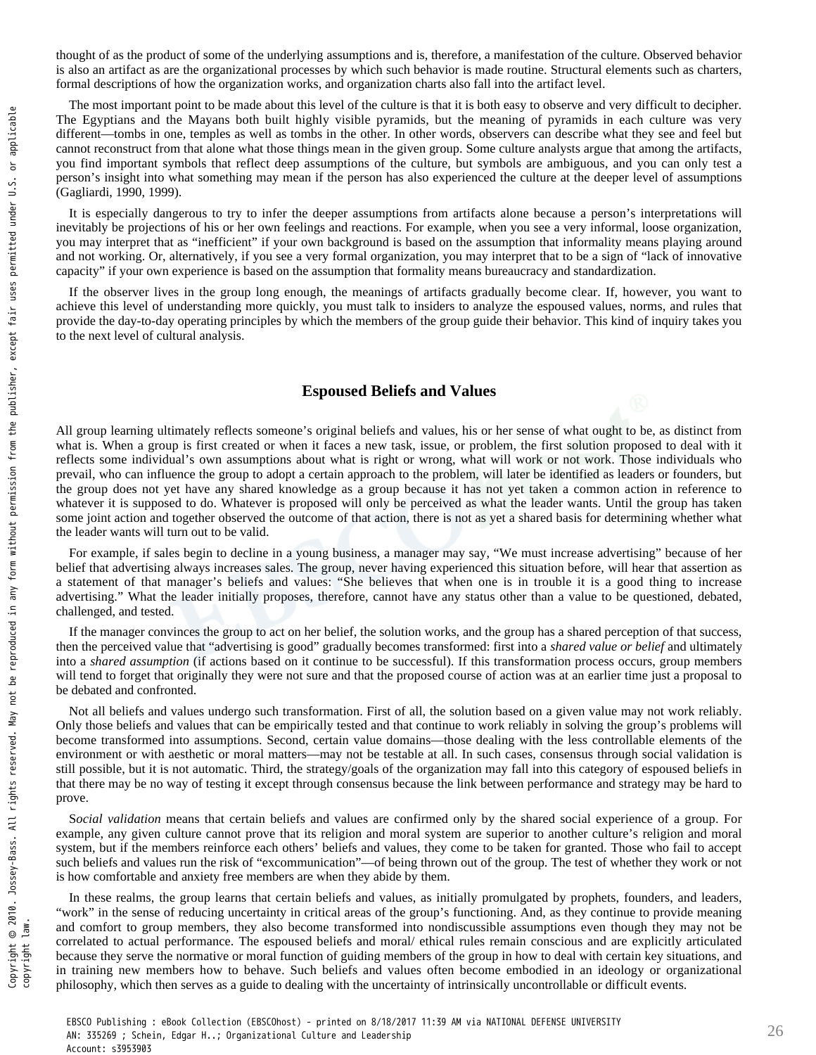thought of as the product of some of the underlying assumptions and is, therefore, a manifestation of the culture. Observed behavior is also an artifact as are the organizational processes by which such behavior is made routine. Structural elements such as charters, formal descriptions of how the organization works, and organization charts also fall into the artifact level.

The most important point to be made about this level of the culture is that it is both easy to observe and very difficult to decipher. The Egyptians and the Mayans both built highly visible pyramids, but the meaning of pyramids in each culture was very different—tombs in one, temples as well as tombs in the other. In other words, observers can describe what they see and feel but cannot reconstruct from that alone what those things mean in the given group. Some culture analysts argue that among the artifacts, you find important symbols that reflect deep assumptions of the culture, but symbols are ambiguous, and you can only test a person's insight into what something may mean if the person has also experienced the culture at the deeper level of assumptions (Gagliardi, 1990, 1999).

It is especially dangerous to try to infer the deeper assumptions from artifacts alone because a person's interpretations will inevitably be projections of his or her own feelings and reactions. For example, when you see a very informal, loose organization, you may interpret that as "inefficient" if your own background is based on the assumption that informality means playing around and not working. Or, alternatively, if you see a very formal organization, you may interpret that to be a sign of "lack of innovative capacity" if your own experience is based on the assumption that formality means bureaucracy and standardization.

If the observer lives in the group long enough, the meanings of artifacts gradually become clear. If, however, you want to achieve this level of understanding more quickly, you must talk to insiders to analyze the espoused values, norms, and rules that provide the day-to-day operating principles by which the members of the group guide their behavior. This kind of inquiry takes you to the next level of cultural analysis.

# **Espoused Beliefs and Values**

All group learning ultimately reflects someone's original beliefs and values, his or her sense of what ought to be, as distinct from what is. When a group is first created or when it faces a new task, issue, or problem, the first solution proposed to deal with it reflects some individual's own assumptions about what is right or wrong, what will work or not work. Those individuals who prevail, who can influence the group to adopt a certain approach to the problem, will later be identified as leaders or founders, but the group does not yet have any shared knowledge as a group because it has not yet taken a common action in reference to whatever it is supposed to do. Whatever is proposed will only be perceived as what the leader wants. Until the group has taken some joint action and together observed the outcome of that action, there is not as yet a shared basis for determining whether what the leader wants will turn out to be valid.

For example, if sales begin to decline in a young business, a manager may say, "We must increase advertising" because of her belief that advertising always increases sales. The group, never having experienced this situation before, will hear that assertion as a statement of that manager's beliefs and values: "She believes that when one is in trouble it is a good thing to increase advertising." What the leader initially proposes, therefore, cannot have any status other than a value to be questioned, debated, challenged, and tested.

If the manager convinces the group to act on her belief, the solution works, and the group has a shared perception of that success, then the perceived value that "advertising is good" gradually becomes transformed: first into a *shared value or belief* and ultimately into a *shared assumption* (if actions based on it continue to be successful). If this transformation process occurs, group members will tend to forget that originally they were not sure and that the proposed course of action was at an earlier time just a proposal to be debated and confronted.

Not all beliefs and values undergo such transformation. First of all, the solution based on a given value may not work reliably. Only those beliefs and values that can be empirically tested and that continue to work reliably in solving the group's problems will become transformed into assumptions. Second, certain value domains—those dealing with the less controllable elements of the environment or with aesthetic or moral matters—may not be testable at all. In such cases, consensus through social validation is still possible, but it is not automatic. Third, the strategy/goals of the organization may fall into this category of espoused beliefs in that there may be no way of testing it except through consensus because the link between performance and strategy may be hard to prove.

S*ocial validation* means that certain beliefs and values are confirmed only by the shared social experience of a group. For example, any given culture cannot prove that its religion and moral system are superior to another culture's religion and moral system, but if the members reinforce each others' beliefs and values, they come to be taken for granted. Those who fail to accept such beliefs and values run the risk of "excommunication"—of being thrown out of the group. The test of whether they work or not is how comfortable and anxiety free members are when they abide by them.

In these realms, the group learns that certain beliefs and values, as initially promulgated by prophets, founders, and leaders, "work" in the sense of reducing uncertainty in critical areas of the group's functioning. And, as they continue to provide meaning and comfort to group members, they also become transformed into nondiscussible assumptions even though they may not be correlated to actual performance. The espoused beliefs and moral/ ethical rules remain conscious and are explicitly articulated because they serve the normative or moral function of guiding members of the group in how to deal with certain key situations, and in training new members how to behave. Such beliefs and values often become embodied in an ideology or organizational philosophy, which then serves as a guide to dealing with the uncertainty of intrinsically uncontrollable or difficult events.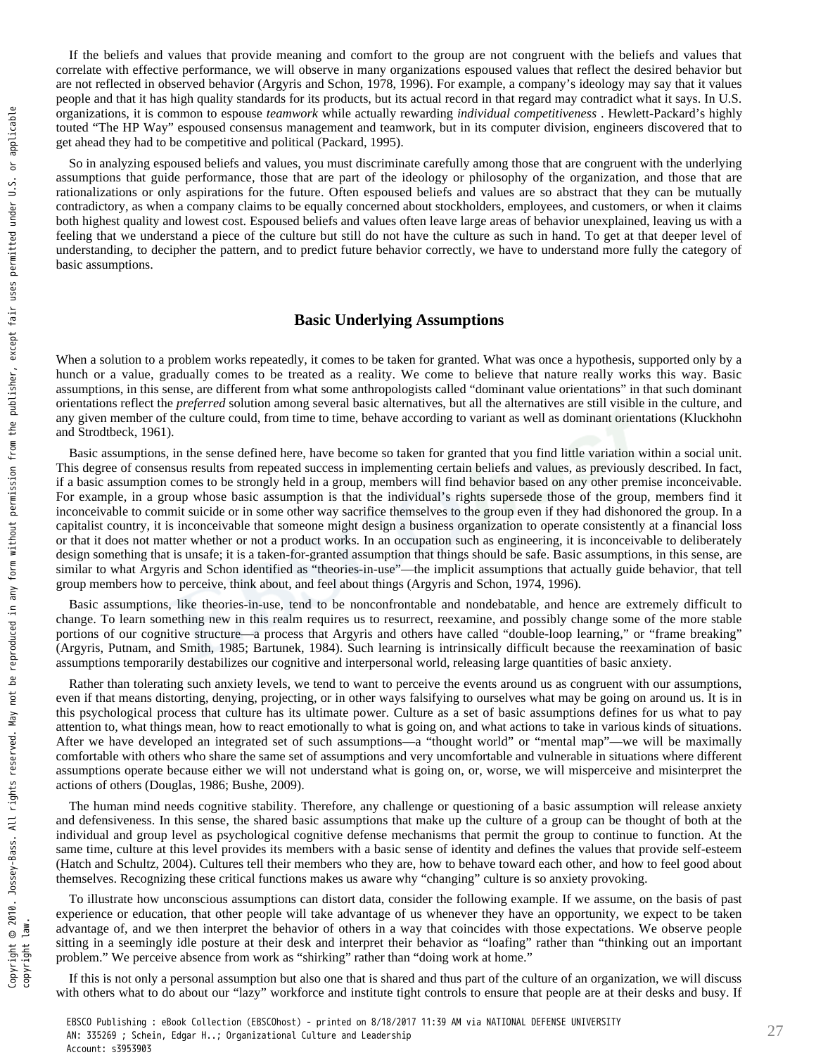If the beliefs and values that provide meaning and comfort to the group are not congruent with the beliefs and values that correlate with effective performance, we will observe in many organizations espoused values that reflect the desired behavior but are not reflected in observed behavior (Argyris and Schon, 1978, 1996). For example, a company's ideology may say that it values people and that it has high quality standards for its products, but its actual record in that regard may contradict what it says. In U.S. organizations, it is common to espouse *teamwork* while actually rewarding *individual competitiveness* . Hewlett-Packard's highly touted "The HP Way" espoused consensus management and teamwork, but in its computer division, engineers discovered that to get ahead they had to be competitive and political (Packard, 1995).

So in analyzing espoused beliefs and values, you must discriminate carefully among those that are congruent with the underlying assumptions that guide performance, those that are part of the ideology or philosophy of the organization, and those that are rationalizations or only aspirations for the future. Often espoused beliefs and values are so abstract that they can be mutually contradictory, as when a company claims to be equally concerned about stockholders, employees, and customers, or when it claims both highest quality and lowest cost. Espoused beliefs and values often leave large areas of behavior unexplained, leaving us with a feeling that we understand a piece of the culture but still do not have the culture as such in hand. To get at that deeper level of understanding, to decipher the pattern, and to predict future behavior correctly, we have to understand more fully the category of basic assumptions.

## **Basic Underlying Assumptions**

When a solution to a problem works repeatedly, it comes to be taken for granted. What was once a hypothesis, supported only by a hunch or a value, gradually comes to be treated as a reality. We come to believe that nature really works this way. Basic assumptions, in this sense, are different from what some anthropologists called "dominant value orientations" in that such dominant orientations reflect the *preferred* solution among several basic alternatives, but all the alternatives are still visible in the culture, and any given member of the culture could, from time to time, behave according to variant as well as dominant orientations (Kluckhohn and Strodtbeck, 1961).

Basic assumptions, in the sense defined here, have become so taken for granted that you find little variation within a social unit. This degree of consensus results from repeated success in implementing certain beliefs and values, as previously described. In fact, if a basic assumption comes to be strongly held in a group, members will find behavior based on any other premise inconceivable. For example, in a group whose basic assumption is that the individual's rights supersede those of the group, members find it inconceivable to commit suicide or in some other way sacrifice themselves to the group even if they had dishonored the group. In a capitalist country, it is inconceivable that someone might design a business organization to operate consistently at a financial loss or that it does not matter whether or not a product works. In an occupation such as engineering, it is inconceivable to deliberately design something that is unsafe; it is a taken-for-granted assumption that things should be safe. Basic assumptions, in this sense, are similar to what Argyris and Schon identified as "theories-in-use"—the implicit assumptions that actually guide behavior, that tell group members how to perceive, think about, and feel about things (Argyris and Schon, 1974, 1996).

Basic assumptions, like theories-in-use, tend to be nonconfrontable and nondebatable, and hence are extremely difficult to change. To learn something new in this realm requires us to resurrect, reexamine, and possibly change some of the more stable portions of our cognitive structure—a process that Argyris and others have called "double-loop learning," or "frame breaking" (Argyris, Putnam, and Smith, 1985; Bartunek, 1984). Such learning is intrinsically difficult because the reexamination of basic assumptions temporarily destabilizes our cognitive and interpersonal world, releasing large quantities of basic anxiety.

Rather than tolerating such anxiety levels, we tend to want to perceive the events around us as congruent with our assumptions, even if that means distorting, denying, projecting, or in other ways falsifying to ourselves what may be going on around us. It is in this psychological process that culture has its ultimate power. Culture as a set of basic assumptions defines for us what to pay attention to, what things mean, how to react emotionally to what is going on, and what actions to take in various kinds of situations. After we have developed an integrated set of such assumptions—a "thought world" or "mental map"—we will be maximally comfortable with others who share the same set of assumptions and very uncomfortable and vulnerable in situations where different assumptions operate because either we will not understand what is going on, or, worse, we will misperceive and misinterpret the actions of others (Douglas, 1986; Bushe, 2009).

The human mind needs cognitive stability. Therefore, any challenge or questioning of a basic assumption will release anxiety and defensiveness. In this sense, the shared basic assumptions that make up the culture of a group can be thought of both at the individual and group level as psychological cognitive defense mechanisms that permit the group to continue to function. At the same time, culture at this level provides its members with a basic sense of identity and defines the values that provide self-esteem (Hatch and Schultz, 2004). Cultures tell their members who they are, how to behave toward each other, and how to feel good about themselves. Recognizing these critical functions makes us aware why "changing" culture is so anxiety provoking.

To illustrate how unconscious assumptions can distort data, consider the following example. If we assume, on the basis of past experience or education, that other people will take advantage of us whenever they have an opportunity, we expect to be taken advantage of, and we then interpret the behavior of others in a way that coincides with those expectations. We observe people sitting in a seemingly idle posture at their desk and interpret their behavior as "loafing" rather than "thinking out an important problem." We perceive absence from work as "shirking" rather than "doing work at home."

If this is not only a personal assumption but also one that is shared and thus part of the culture of an organization, we will discuss with others what to do about our "lazy" workforce and institute tight controls to ensure that people are at their desks and busy. If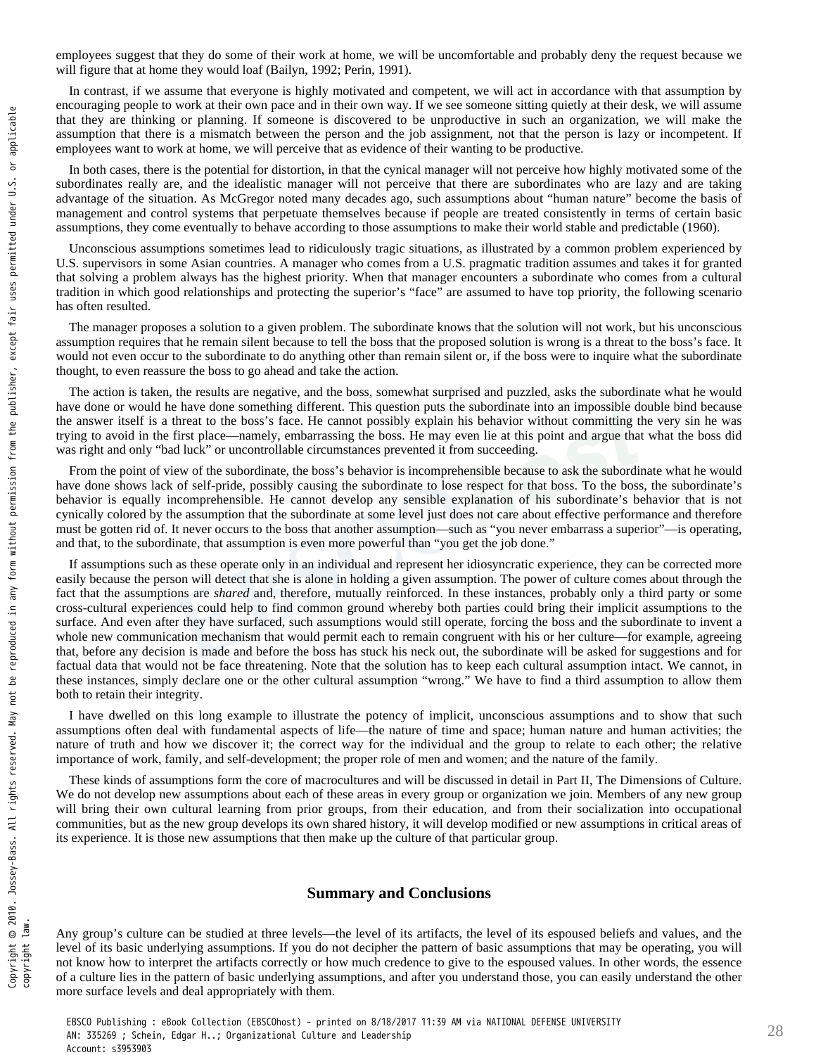employees suggest that they do some of their work at home, we will be uncomfortable and probably deny the request because we will figure that at home they would loaf (Bailyn, 1992; Perin, 1991).

In contrast, if we assume that everyone is highly motivated and competent, we will act in accordance with that assumption by encouraging people to work at their own pace and in their own way. If we see someone sitting quietly at their desk, we will assume that they are thinking or planning. If someone is discovered to be unproductive in such an organization, we will make the assumption that there is a mismatch between the person and the job assignment, not that the person is lazy or incompetent. If employees want to work at home, we will perceive that as evidence of their wanting to be productive.

In both cases, there is the potential for distortion, in that the cynical manager will not perceive how highly motivated some of the subordinates really are, and the idealistic manager will not perceive that there are subordinates who are lazy and are taking advantage of the situation. As McGregor noted many decades ago, such assumptions about "human nature" become the basis of management and control systems that perpetuate themselves because if people are treated consistently in terms of certain basic assumptions, they come eventually to behave according to those assumptions to make their world stable and predictable (1960).

Unconscious assumptions sometimes lead to ridiculously tragic situations, as illustrated by a common problem experienced by U.S. supervisors in some Asian countries. A manager who comes from a U.S. pragmatic tradition assumes and takes it for granted that solving a problem always has the highest priority. When that manager encounters a subordinate who comes from a cultural tradition in which good relationships and protecting the superior's "face" are assumed to have top priority, the following scenario has often resulted.

The manager proposes a solution to a given problem. The subordinate knows that the solution will not work, but his unconscious assumption requires that he remain silent because to tell the boss that the proposed solution is wrong is a threat to the boss's face. It would not even occur to the subordinate to do anything other than remain silent or, if the boss were to inquire what the subordinate thought, to even reassure the boss to go ahead and take the action.

The action is taken, the results are negative, and the boss, somewhat surprised and puzzled, asks the subordinate what he would have done or would he have done something different. This question puts the subordinate into an impossible double bind because the answer itself is a threat to the boss's face. He cannot possibly explain his behavior without committing the very sin he was trying to avoid in the first place—namely, embarrassing the boss. He may even lie at this point and argue that what the boss did was right and only "bad luck" or uncontrollable circumstances prevented it from succeeding.

From the point of view of the subordinate, the boss's behavior is incomprehensible because to ask the subordinate what he would have done shows lack of self-pride, possibly causing the subordinate to lose respect for that boss. To the boss, the subordinate's behavior is equally incomprehensible. He cannot develop any sensible explanation of his subordinate's behavior that is not cynically colored by the assumption that the subordinate at some level just does not care about effective performance and therefore must be gotten rid of. It never occurs to the boss that another assumption—such as "you never embarrass a superior"—is operating, and that, to the subordinate, that assumption is even more powerful than "you get the job done."

If assumptions such as these operate only in an individual and represent her idiosyncratic experience, they can be corrected more easily because the person will detect that she is alone in holding a given assumption. The power of culture comes about through the fact that the assumptions are *shared* and, therefore, mutually reinforced. In these instances, probably only a third party or some cross-cultural experiences could help to find common ground whereby both parties could bring their implicit assumptions to the surface. And even after they have surfaced, such assumptions would still operate, forcing the boss and the subordinate to invent a whole new communication mechanism that would permit each to remain congruent with his or her culture—for example, agreeing that, before any decision is made and before the boss has stuck his neck out, the subordinate will be asked for suggestions and for factual data that would not be face threatening. Note that the solution has to keep each cultural assumption intact. We cannot, in these instances, simply declare one or the other cultural assumption "wrong." We have to find a third assumption to allow them both to retain their integrity.

I have dwelled on this long example to illustrate the potency of implicit, unconscious assumptions and to show that such assumptions often deal with fundamental aspects of life—the nature of time and space; human nature and human activities; the nature of truth and how we discover it; the correct way for the individual and the group to relate to each other; the relative importance of work, family, and self-development; the proper role of men and women; and the nature of the family.

These kinds of assumptions form the core of macrocultures and will be discussed in detail in Part II, The Dimensions of Culture. We do not develop new assumptions about each of these areas in every group or organization we join. Members of any new group will bring their own cultural learning from prior groups, from their education, and from their socialization into occupational communities, but as the new group develops its own shared history, it will develop modified or new assumptions in critical areas of its experience. It is those new assumptions that then make up the culture of that particular group.

# **Summary and Conclusions**

Any group's culture can be studied at three levels—the level of its artifacts, the level of its espoused beliefs and values, and the level of its basic underlying assumptions. If you do not decipher the pattern of basic assumptions that may be operating, you will not know how to interpret the artifacts correctly or how much credence to give to the espoused values. In other words, the essence of a culture lies in the pattern of basic underlying assumptions, and after you understand those, you can easily understand the other more surface levels and deal appropriately with them.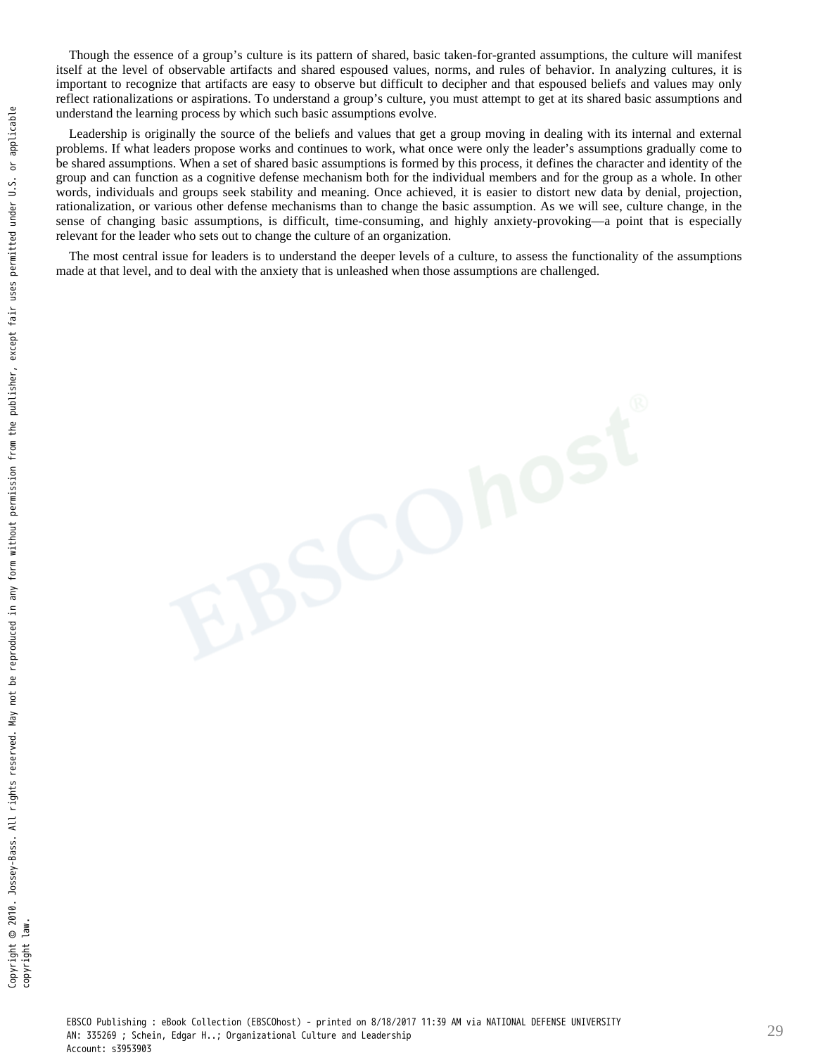Though the essence of a group's culture is its pattern of shared, basic taken-for-granted assumptions, the culture will manifest itself at the level of observable artifacts and shared espoused values, norms, and rules of behavior. In analyzing cultures, it is important to recognize that artifacts are easy to observe but difficult to decipher and that espoused beliefs and values may only reflect rationalizations or aspirations. To understand a group's culture, you must attempt to get at its shared basic assumptions and understand the learning process by which such basic assumptions evolve.

Leadership is originally the source of the beliefs and values that get a group moving in dealing with its internal and external problems. If what leaders propose works and continues to work, what once were only the leader's assumptions gradually come to be shared assumptions. When a set of shared basic assumptions is formed by this process, it defines the character and identity of the group and can function as a cognitive defense mechanism both for the individual members and for the group as a whole. In other words, individuals and groups seek stability and meaning. Once achieved, it is easier to distort new data by denial, projection, rationalization, or various other defense mechanisms than to change the basic assumption. As we will see, culture change, in the sense of changing basic assumptions, is difficult, time-consuming, and highly anxiety-provoking—a point that is especially relevant for the leader who sets out to change the culture of an organization.

The most central issue for leaders is to understand the deeper levels of a culture, to assess the functionality of the assumptions made at that level, and to deal with the anxiety that is unleashed when those assumptions are challenged.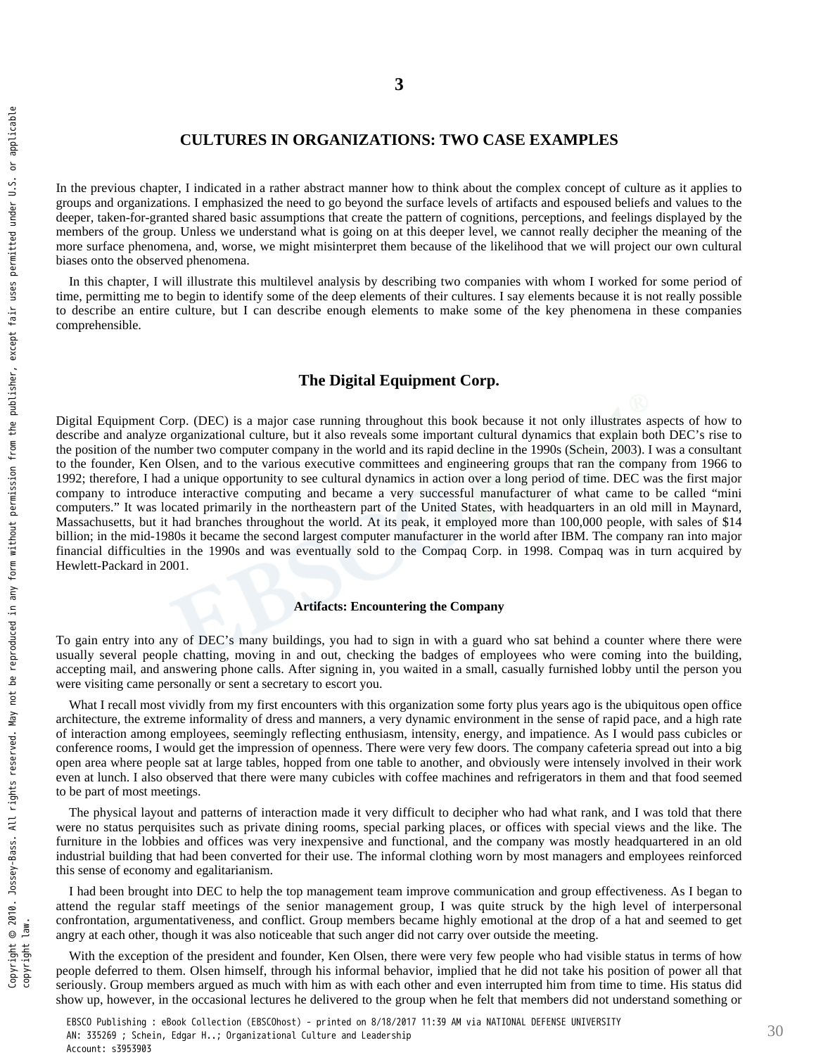# **CULTURES IN ORGANIZATIONS: TWO CASE EXAMPLES**

In the previous chapter, I indicated in a rather abstract manner how to think about the complex concept of culture as it applies to groups and organizations. I emphasized the need to go beyond the surface levels of artifacts and espoused beliefs and values to the deeper, taken-for-granted shared basic assumptions that create the pattern of cognitions, perceptions, and feelings displayed by the members of the group. Unless we understand what is going on at this deeper level, we cannot really decipher the meaning of the more surface phenomena, and, worse, we might misinterpret them because of the likelihood that we will project our own cultural biases onto the observed phenomena.

In this chapter, I will illustrate this multilevel analysis by describing two companies with whom I worked for some period of time, permitting me to begin to identify some of the deep elements of their cultures. I say elements because it is not really possible to describe an entire culture, but I can describe enough elements to make some of the key phenomena in these companies comprehensible.

# **The Digital Equipment Corp.**

Digital Equipment Corp. (DEC) is a major case running throughout this book because it not only illustrates aspects of how to describe and analyze organizational culture, but it also reveals some important cultural dynamics that explain both DEC's rise to the position of the number two computer company in the world and its rapid decline in the 1990s (Schein, 2003). I was a consultant to the founder, Ken Olsen, and to the various executive committees and engineering groups that ran the company from 1966 to 1992; therefore, I had a unique opportunity to see cultural dynamics in action over a long period of time. DEC was the first major company to introduce interactive computing and became a very successful manufacturer of what came to be called "mini computers." It was located primarily in the northeastern part of the United States, with headquarters in an old mill in Maynard, Massachusetts, but it had branches throughout the world. At its peak, it employed more than 100,000 people, with sales of \$14 billion; in the mid-1980s it became the second largest computer manufacturer in the world after IBM. The company ran into major financial difficulties in the 1990s and was eventually sold to the Compaq Corp. in 1998. Compaq was in turn acquired by Hewlett-Packard in 2001.

### **Artifacts: Encountering the Company**

To gain entry into any of DEC's many buildings, you had to sign in with a guard who sat behind a counter where there were usually several people chatting, moving in and out, checking the badges of employees who were coming into the building, accepting mail, and answering phone calls. After signing in, you waited in a small, casually furnished lobby until the person you were visiting came personally or sent a secretary to escort you.

What I recall most vividly from my first encounters with this organization some forty plus years ago is the ubiquitous open office architecture, the extreme informality of dress and manners, a very dynamic environment in the sense of rapid pace, and a high rate of interaction among employees, seemingly reflecting enthusiasm, intensity, energy, and impatience. As I would pass cubicles or conference rooms, I would get the impression of openness. There were very few doors. The company cafeteria spread out into a big open area where people sat at large tables, hopped from one table to another, and obviously were intensely involved in their work even at lunch. I also observed that there were many cubicles with coffee machines and refrigerators in them and that food seemed to be part of most meetings.

The physical layout and patterns of interaction made it very difficult to decipher who had what rank, and I was told that there were no status perquisites such as private dining rooms, special parking places, or offices with special views and the like. The furniture in the lobbies and offices was very inexpensive and functional, and the company was mostly headquartered in an old industrial building that had been converted for their use. The informal clothing worn by most managers and employees reinforced this sense of economy and egalitarianism.

I had been brought into DEC to help the top management team improve communication and group effectiveness. As I began to attend the regular staff meetings of the senior management group, I was quite struck by the high level of interpersonal confrontation, argumentativeness, and conflict. Group members became highly emotional at the drop of a hat and seemed to get angry at each other, though it was also noticeable that such anger did not carry over outside the meeting.

With the exception of the president and founder, Ken Olsen, there were very few people who had visible status in terms of how people deferred to them. Olsen himself, through his informal behavior, implied that he did not take his position of power all that seriously. Group members argued as much with him as with each other and even interrupted him from time to time. His status did show up, however, in the occasional lectures he delivered to the group when he felt that members did not understand something or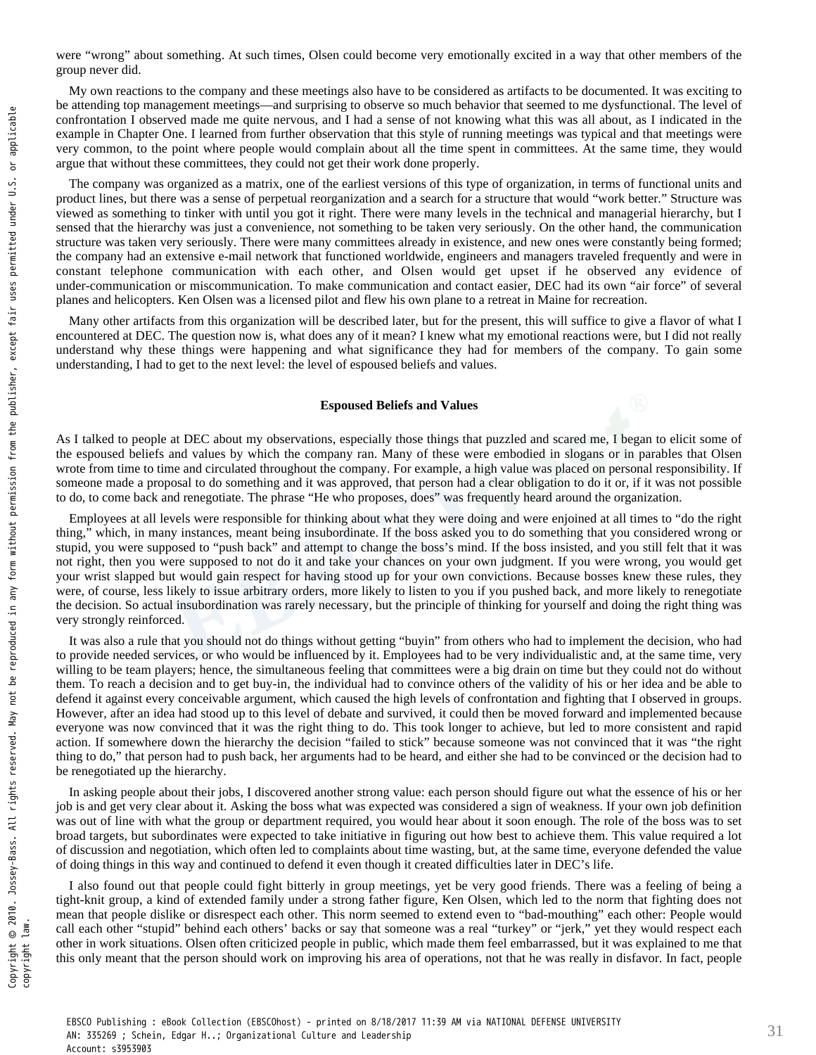were "wrong" about something. At such times, Olsen could become very emotionally excited in a way that other members of the group never did.

My own reactions to the company and these meetings also have to be considered as artifacts to be documented. It was exciting to be attending top management meetings—and surprising to observe so much behavior that seemed to me dysfunctional. The level of confrontation I observed made me quite nervous, and I had a sense of not knowing what this was all about, as I indicated in the example in Chapter One. I learned from further observation that this style of running meetings was typical and that meetings were very common, to the point where people would complain about all the time spent in committees. At the same time, they would argue that without these committees, they could not get their work done properly.

The company was organized as a matrix, one of the earliest versions of this type of organization, in terms of functional units and product lines, but there was a sense of perpetual reorganization and a search for a structure that would "work better." Structure was viewed as something to tinker with until you got it right. There were many levels in the technical and managerial hierarchy, but I sensed that the hierarchy was just a convenience, not something to be taken very seriously. On the other hand, the communication structure was taken very seriously. There were many committees already in existence, and new ones were constantly being formed; the company had an extensive e-mail network that functioned worldwide, engineers and managers traveled frequently and were in constant telephone communication with each other, and Olsen would get upset if he observed any evidence of under-communication or miscommunication. To make communication and contact easier, DEC had its own "air force" of several planes and helicopters. Ken Olsen was a licensed pilot and flew his own plane to a retreat in Maine for recreation.

Many other artifacts from this organization will be described later, but for the present, this will suffice to give a flavor of what I encountered at DEC. The question now is, what does any of it mean? I knew what my emotional reactions were, but I did not really understand why these things were happening and what significance they had for members of the company. To gain some understanding, I had to get to the next level: the level of espoused beliefs and values.

#### **Espoused Beliefs and Values**

As I talked to people at DEC about my observations, especially those things that puzzled and scared me, I began to elicit some of the espoused beliefs and values by which the company ran. Many of these were embodied in slogans or in parables that Olsen wrote from time to time and circulated throughout the company. For example, a high value was placed on personal responsibility. If someone made a proposal to do something and it was approved, that person had a clear obligation to do it or, if it was not possible to do, to come back and renegotiate. The phrase "He who proposes, does" was frequently heard around the organization.

Employees at all levels were responsible for thinking about what they were doing and were enjoined at all times to "do the right thing," which, in many instances, meant being insubordinate. If the boss asked you to do something that you considered wrong or stupid, you were supposed to "push back" and attempt to change the boss's mind. If the boss insisted, and you still felt that it was not right, then you were supposed to not do it and take your chances on your own judgment. If you were wrong, you would get your wrist slapped but would gain respect for having stood up for your own convictions. Because bosses knew these rules, they were, of course, less likely to issue arbitrary orders, more likely to listen to you if you pushed back, and more likely to renegotiate the decision. So actual insubordination was rarely necessary, but the principle of thinking for yourself and doing the right thing was very strongly reinforced.

It was also a rule that you should not do things without getting "buyin" from others who had to implement the decision, who had to provide needed services, or who would be influenced by it. Employees had to be very individualistic and, at the same time, very willing to be team players; hence, the simultaneous feeling that committees were a big drain on time but they could not do without them. To reach a decision and to get buy-in, the individual had to convince others of the validity of his or her idea and be able to defend it against every conceivable argument, which caused the high levels of confrontation and fighting that I observed in groups. However, after an idea had stood up to this level of debate and survived, it could then be moved forward and implemented because everyone was now convinced that it was the right thing to do. This took longer to achieve, but led to more consistent and rapid action. If somewhere down the hierarchy the decision "failed to stick" because someone was not convinced that it was "the right thing to do," that person had to push back, her arguments had to be heard, and either she had to be convinced or the decision had to be renegotiated up the hierarchy.

In asking people about their jobs, I discovered another strong value: each person should figure out what the essence of his or her job is and get very clear about it. Asking the boss what was expected was considered a sign of weakness. If your own job definition was out of line with what the group or department required, you would hear about it soon enough. The role of the boss was to set broad targets, but subordinates were expected to take initiative in figuring out how best to achieve them. This value required a lot of discussion and negotiation, which often led to complaints about time wasting, but, at the same time, everyone defended the value of doing things in this way and continued to defend it even though it created difficulties later in DEC's life.

I also found out that people could fight bitterly in group meetings, yet be very good friends. There was a feeling of being a tight-knit group, a kind of extended family under a strong father figure, Ken Olsen, which led to the norm that fighting does not mean that people dislike or disrespect each other. This norm seemed to extend even to "bad-mouthing" each other: People would call each other "stupid" behind each others' backs or say that someone was a real "turkey" or "jerk," yet they would respect each other in work situations. Olsen often criticized people in public, which made them feel embarrassed, but it was explained to me that this only meant that the person should work on improving his area of operations, not that he was really in disfavor. In fact, people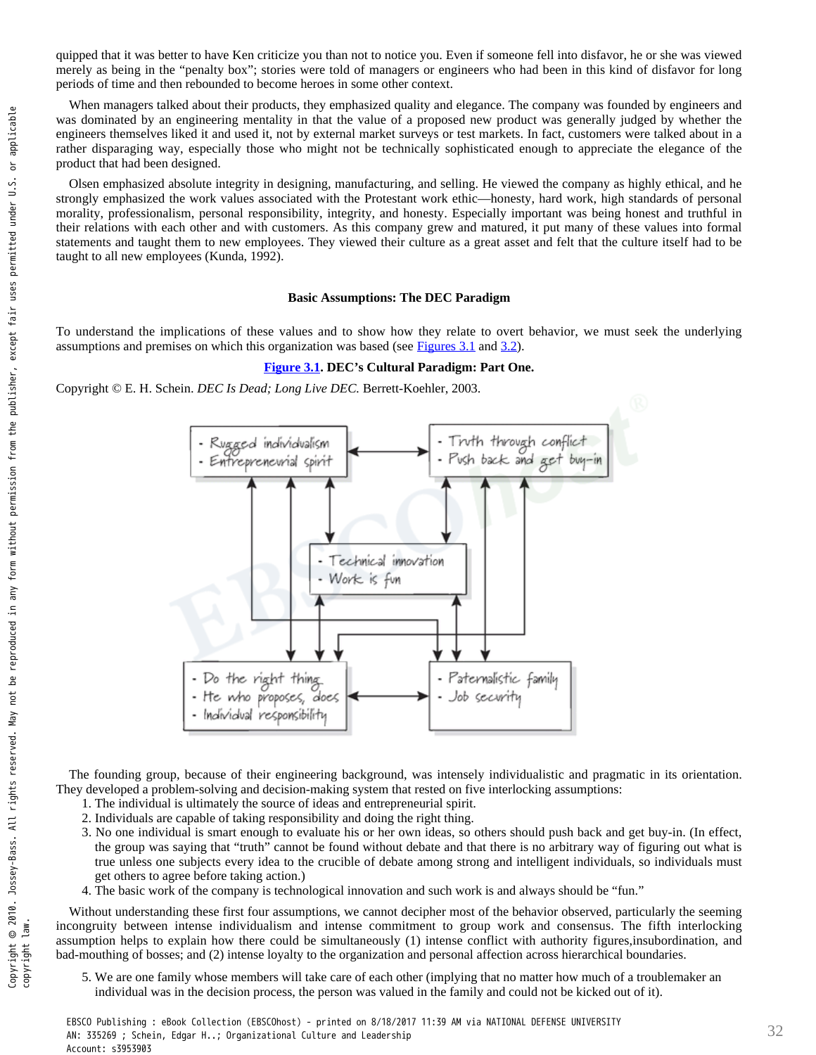quipped that it was better to have Ken criticize you than not to notice you. Even if someone fell into disfavor, he or she was viewed merely as being in the "penalty box"; stories were told of managers or engineers who had been in this kind of disfavor for long periods of time and then rebounded to become heroes in some other context.

When managers talked about their products, they emphasized quality and elegance. The company was founded by engineers and was dominated by an engineering mentality in that the value of a proposed new product was generally judged by whether the engineers themselves liked it and used it, not by external market surveys or test markets. In fact, customers were talked about in a rather disparaging way, especially those who might not be technically sophisticated enough to appreciate the elegance of the product that had been designed.

Olsen emphasized absolute integrity in designing, manufacturing, and selling. He viewed the company as highly ethical, and he strongly emphasized the work values associated with the Protestant work ethic—honesty, hard work, high standards of personal morality, professionalism, personal responsibility, integrity, and honesty. Especially important was being honest and truthful in their relations with each other and with customers. As this company grew and matured, it put many of these values into formal statements and taught them to new employees. They viewed their culture as a great asset and felt that the culture itself had to be taught to all new employees (Kunda, 1992).

#### **Basic Assumptions: The DEC Paradigm**

To understand the implications of these values and to show how they relate to overt behavior, we must seek the underlying assumptions and premises on which this organization was based (see Figures 3.1 and 3.2).

### **Figure 3.1. DEC's Cultural Paradigm: Part One.**

Copyright © E. H. Schein. *DEC Is Dead; Long Live DEC.* Berrett-Koehler, 2003.



The founding group, because of their engineering background, was intensely individualistic and pragmatic in its orientation. They developed a problem-solving and decision-making system that rested on five interlocking assumptions:

- 1. The individual is ultimately the source of ideas and entrepreneurial spirit.
- 2. Individuals are capable of taking responsibility and doing the right thing.
- 3. No one individual is smart enough to evaluate his or her own ideas, so others should push back and get buy-in. (In effect, the group was saying that "truth" cannot be found without debate and that there is no arbitrary way of figuring out what is true unless one subjects every idea to the crucible of debate among strong and intelligent individuals, so individuals must get others to agree before taking action.)
- 4. The basic work of the company is technological innovation and such work is and always should be "fun."

Without understanding these first four assumptions, we cannot decipher most of the behavior observed, particularly the seeming incongruity between intense individualism and intense commitment to group work and consensus. The fifth interlocking assumption helps to explain how there could be simultaneously (1) intense conflict with authority figures,insubordination, and bad-mouthing of bosses; and (2) intense loyalty to the organization and personal affection across hierarchical boundaries.

5. We are one family whose members will take care of each other (implying that no matter how much of a troublemaker an individual was in the decision process, the person was valued in the family and could not be kicked out of it).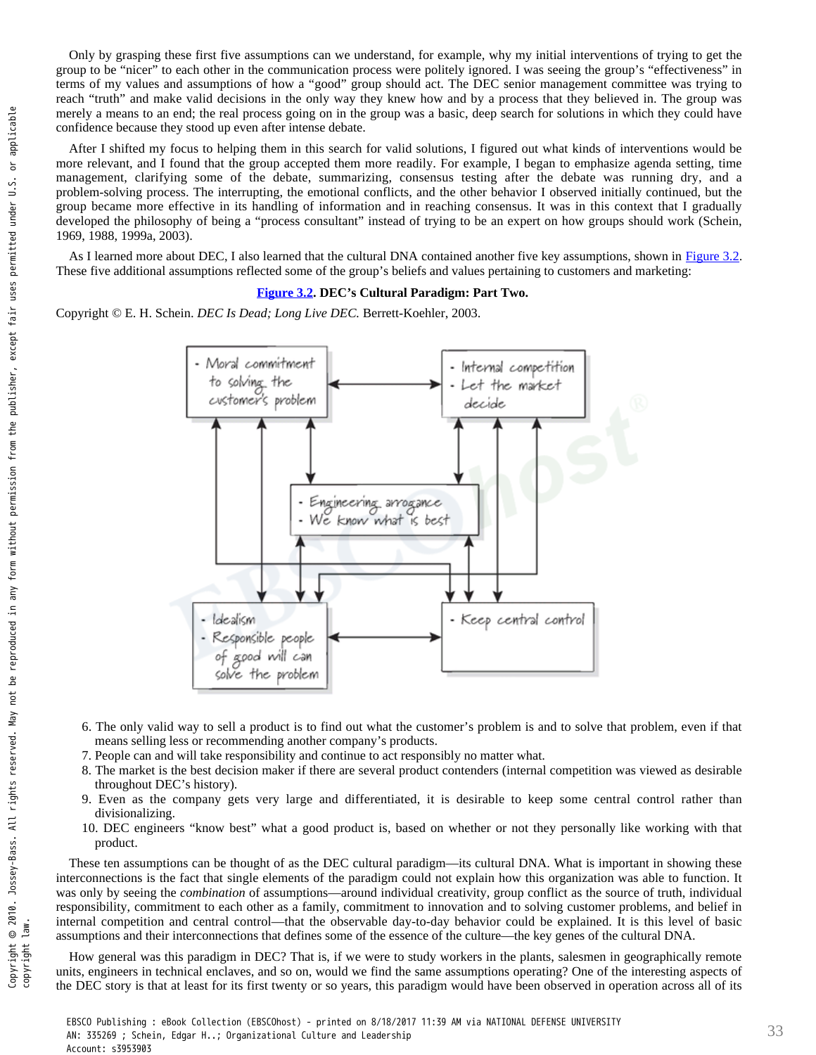Only by grasping these first five assumptions can we understand, for example, why my initial interventions of trying to get the group to be "nicer" to each other in the communication process were politely ignored. I was seeing the group's "effectiveness" in terms of my values and assumptions of how a "good" group should act. The DEC senior management committee was trying to reach "truth" and make valid decisions in the only way they knew how and by a process that they believed in. The group was merely a means to an end; the real process going on in the group was a basic, deep search for solutions in which they could have confidence because they stood up even after intense debate.

After I shifted my focus to helping them in this search for valid solutions, I figured out what kinds of interventions would be more relevant, and I found that the group accepted them more readily. For example, I began to emphasize agenda setting, time management, clarifying some of the debate, summarizing, consensus testing after the debate was running dry, and a problem-solving process. The interrupting, the emotional conflicts, and the other behavior I observed initially continued, but the group became more effective in its handling of information and in reaching consensus. It was in this context that I gradually developed the philosophy of being a "process consultant" instead of trying to be an expert on how groups should work (Schein, 1969, 1988, 1999a, 2003).

As I learned more about DEC, I also learned that the cultural DNA contained another five key assumptions, shown in Figure 3.2. These five additional assumptions reflected some of the group's beliefs and values pertaining to customers and marketing:

### **Figure 3.2. DEC's Cultural Paradigm: Part Two.**

Copyright © E. H. Schein. *DEC Is Dead; Long Live DEC.* Berrett-Koehler, 2003.



- 6. The only valid way to sell a product is to find out what the customer's problem is and to solve that problem, even if that means selling less or recommending another company's products.
- 7. People can and will take responsibility and continue to act responsibly no matter what.
- 8. The market is the best decision maker if there are several product contenders (internal competition was viewed as desirable throughout DEC's history).
- 9. Even as the company gets very large and differentiated, it is desirable to keep some central control rather than divisionalizing.
- 10. DEC engineers "know best" what a good product is, based on whether or not they personally like working with that product.

These ten assumptions can be thought of as the DEC cultural paradigm—its cultural DNA. What is important in showing these interconnections is the fact that single elements of the paradigm could not explain how this organization was able to function. It was only by seeing the *combination* of assumptions—around individual creativity, group conflict as the source of truth, individual responsibility, commitment to each other as a family, commitment to innovation and to solving customer problems, and belief in internal competition and central control—that the observable day-to-day behavior could be explained. It is this level of basic assumptions and their interconnections that defines some of the essence of the culture—the key genes of the cultural DNA.

How general was this paradigm in DEC? That is, if we were to study workers in the plants, salesmen in geographically remote units, engineers in technical enclaves, and so on, would we find the same assumptions operating? One of the interesting aspects of the DEC story is that at least for its first twenty or so years, this paradigm would have been observed in operation across all of its

copyright law.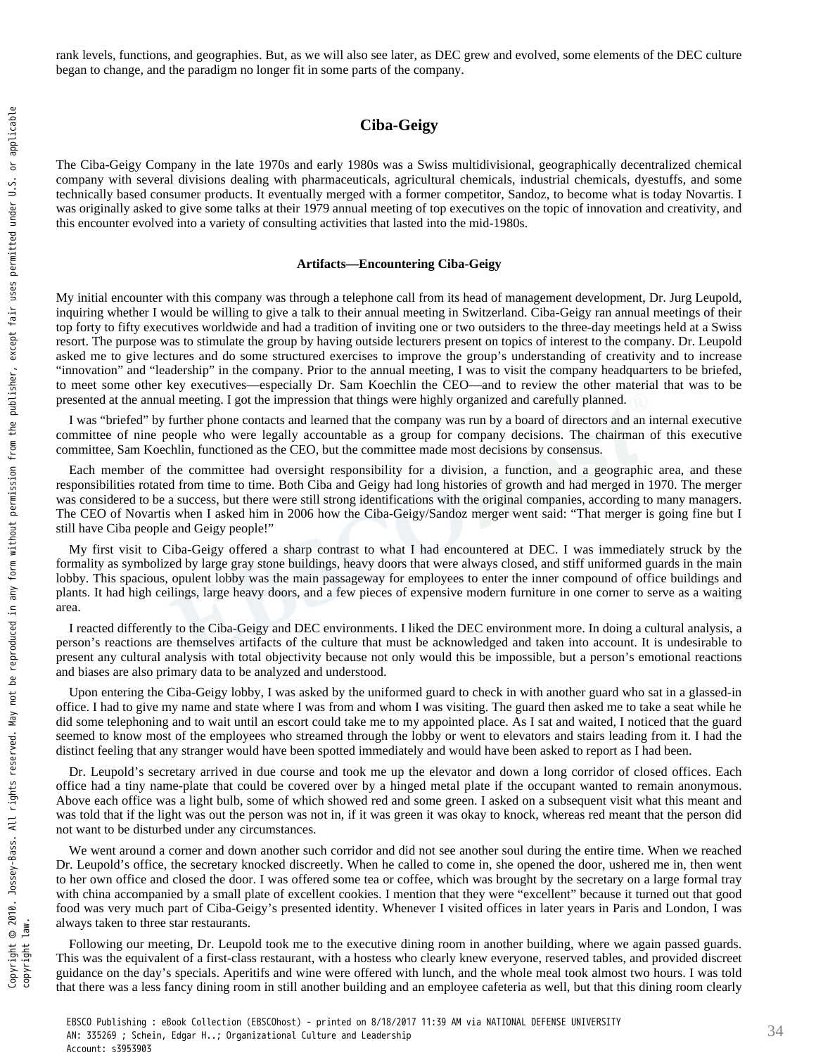rank levels, functions, and geographies. But, as we will also see later, as DEC grew and evolved, some elements of the DEC culture began to change, and the paradigm no longer fit in some parts of the company.

# **Ciba-Geigy**

The Ciba-Geigy Company in the late 1970s and early 1980s was a Swiss multidivisional, geographically decentralized chemical company with several divisions dealing with pharmaceuticals, agricultural chemicals, industrial chemicals, dyestuffs, and some technically based consumer products. It eventually merged with a former competitor, Sandoz, to become what is today Novartis. I was originally asked to give some talks at their 1979 annual meeting of top executives on the topic of innovation and creativity, and this encounter evolved into a variety of consulting activities that lasted into the mid-1980s.

### **Artifacts—Encountering Ciba-Geigy**

My initial encounter with this company was through a telephone call from its head of management development, Dr. Jurg Leupold, inquiring whether I would be willing to give a talk to their annual meeting in Switzerland. Ciba-Geigy ran annual meetings of their top forty to fifty executives worldwide and had a tradition of inviting one or two outsiders to the three-day meetings held at a Swiss resort. The purpose was to stimulate the group by having outside lecturers present on topics of interest to the company. Dr. Leupold asked me to give lectures and do some structured exercises to improve the group's understanding of creativity and to increase "innovation" and "leadership" in the company. Prior to the annual meeting, I was to visit the company headquarters to be briefed, to meet some other key executives—especially Dr. Sam Koechlin the CEO—and to review the other material that was to be presented at the annual meeting. I got the impression that things were highly organized and carefully planned.

I was "briefed" by further phone contacts and learned that the company was run by a board of directors and an internal executive committee of nine people who were legally accountable as a group for company decisions. The chairman of this executive committee, Sam Koechlin, functioned as the CEO, but the committee made most decisions by consensus.

Each member of the committee had oversight responsibility for a division, a function, and a geographic area, and these responsibilities rotated from time to time. Both Ciba and Geigy had long histories of growth and had merged in 1970. The merger was considered to be a success, but there were still strong identifications with the original companies, according to many managers. The CEO of Novartis when I asked him in 2006 how the Ciba-Geigy/Sandoz merger went said: "That merger is going fine but I still have Ciba people and Geigy people!"

My first visit to Ciba-Geigy offered a sharp contrast to what I had encountered at DEC. I was immediately struck by the formality as symbolized by large gray stone buildings, heavy doors that were always closed, and stiff uniformed guards in the main lobby. This spacious, opulent lobby was the main passageway for employees to enter the inner compound of office buildings and plants. It had high ceilings, large heavy doors, and a few pieces of expensive modern furniture in one corner to serve as a waiting area.

I reacted differently to the Ciba-Geigy and DEC environments. I liked the DEC environment more. In doing a cultural analysis, a person's reactions are themselves artifacts of the culture that must be acknowledged and taken into account. It is undesirable to present any cultural analysis with total objectivity because not only would this be impossible, but a person's emotional reactions and biases are also primary data to be analyzed and understood.

Upon entering the Ciba-Geigy lobby, I was asked by the uniformed guard to check in with another guard who sat in a glassed-in office. I had to give my name and state where I was from and whom I was visiting. The guard then asked me to take a seat while he did some telephoning and to wait until an escort could take me to my appointed place. As I sat and waited, I noticed that the guard seemed to know most of the employees who streamed through the lobby or went to elevators and stairs leading from it. I had the distinct feeling that any stranger would have been spotted immediately and would have been asked to report as I had been.

Dr. Leupold's secretary arrived in due course and took me up the elevator and down a long corridor of closed offices. Each office had a tiny name-plate that could be covered over by a hinged metal plate if the occupant wanted to remain anonymous. Above each office was a light bulb, some of which showed red and some green. I asked on a subsequent visit what this meant and was told that if the light was out the person was not in, if it was green it was okay to knock, whereas red meant that the person did not want to be disturbed under any circumstances.

We went around a corner and down another such corridor and did not see another soul during the entire time. When we reached Dr. Leupold's office, the secretary knocked discreetly. When he called to come in, she opened the door, ushered me in, then went to her own office and closed the door. I was offered some tea or coffee, which was brought by the secretary on a large formal tray with china accompanied by a small plate of excellent cookies. I mention that they were "excellent" because it turned out that good food was very much part of Ciba-Geigy's presented identity. Whenever I visited offices in later years in Paris and London, I was always taken to three star restaurants.

Following our meeting, Dr. Leupold took me to the executive dining room in another building, where we again passed guards. This was the equivalent of a first-class restaurant, with a hostess who clearly knew everyone, reserved tables, and provided discreet guidance on the day's specials. Aperitifs and wine were offered with lunch, and the whole meal took almost two hours. I was told that there was a less fancy dining room in still another building and an employee cafeteria as well, but that this dining room clearly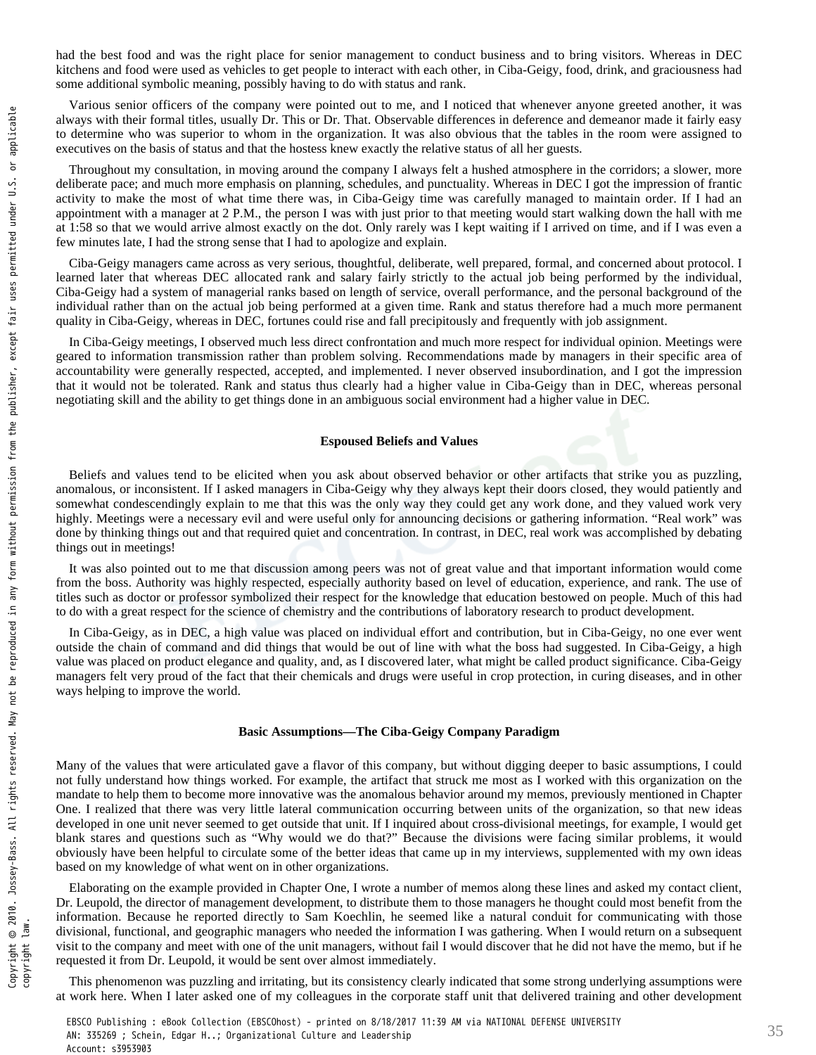had the best food and was the right place for senior management to conduct business and to bring visitors. Whereas in DEC kitchens and food were used as vehicles to get people to interact with each other, in Ciba-Geigy, food, drink, and graciousness had some additional symbolic meaning, possibly having to do with status and rank.

Various senior officers of the company were pointed out to me, and I noticed that whenever anyone greeted another, it was always with their formal titles, usually Dr. This or Dr. That. Observable differences in deference and demeanor made it fairly easy to determine who was superior to whom in the organization. It was also obvious that the tables in the room were assigned to executives on the basis of status and that the hostess knew exactly the relative status of all her guests.

Throughout my consultation, in moving around the company I always felt a hushed atmosphere in the corridors; a slower, more deliberate pace; and much more emphasis on planning, schedules, and punctuality. Whereas in DEC I got the impression of frantic activity to make the most of what time there was, in Ciba-Geigy time was carefully managed to maintain order. If I had an appointment with a manager at 2 P.M., the person I was with just prior to that meeting would start walking down the hall with me at 1:58 so that we would arrive almost exactly on the dot. Only rarely was I kept waiting if I arrived on time, and if I was even a few minutes late, I had the strong sense that I had to apologize and explain.

Ciba-Geigy managers came across as very serious, thoughtful, deliberate, well prepared, formal, and concerned about protocol. I learned later that whereas DEC allocated rank and salary fairly strictly to the actual job being performed by the individual, Ciba-Geigy had a system of managerial ranks based on length of service, overall performance, and the personal background of the individual rather than on the actual job being performed at a given time. Rank and status therefore had a much more permanent quality in Ciba-Geigy, whereas in DEC, fortunes could rise and fall precipitously and frequently with job assignment.

In Ciba-Geigy meetings, I observed much less direct confrontation and much more respect for individual opinion. Meetings were geared to information transmission rather than problem solving. Recommendations made by managers in their specific area of accountability were generally respected, accepted, and implemented. I never observed insubordination, and I got the impression that it would not be tolerated. Rank and status thus clearly had a higher value in Ciba-Geigy than in DEC, whereas personal negotiating skill and the ability to get things done in an ambiguous social environment had a higher value in DEC.

#### **Espoused Beliefs and Values**

Beliefs and values tend to be elicited when you ask about observed behavior or other artifacts that strike you as puzzling, anomalous, or inconsistent. If I asked managers in Ciba-Geigy why they always kept their doors closed, they would patiently and somewhat condescendingly explain to me that this was the only way they could get any work done, and they valued work very highly. Meetings were a necessary evil and were useful only for announcing decisions or gathering information. "Real work" was done by thinking things out and that required quiet and concentration. In contrast, in DEC, real work was accomplished by debating things out in meetings!

It was also pointed out to me that discussion among peers was not of great value and that important information would come from the boss. Authority was highly respected, especially authority based on level of education, experience, and rank. The use of titles such as doctor or professor symbolized their respect for the knowledge that education bestowed on people. Much of this had to do with a great respect for the science of chemistry and the contributions of laboratory research to product development.

In Ciba-Geigy, as in DEC, a high value was placed on individual effort and contribution, but in Ciba-Geigy, no one ever went outside the chain of command and did things that would be out of line with what the boss had suggested. In Ciba-Geigy, a high value was placed on product elegance and quality, and, as I discovered later, what might be called product significance. Ciba-Geigy managers felt very proud of the fact that their chemicals and drugs were useful in crop protection, in curing diseases, and in other ways helping to improve the world.

## **Basic Assumptions—The Ciba-Geigy Company Paradigm**

Many of the values that were articulated gave a flavor of this company, but without digging deeper to basic assumptions, I could not fully understand how things worked. For example, the artifact that struck me most as I worked with this organization on the mandate to help them to become more innovative was the anomalous behavior around my memos, previously mentioned in Chapter One. I realized that there was very little lateral communication occurring between units of the organization, so that new ideas developed in one unit never seemed to get outside that unit. If I inquired about cross-divisional meetings, for example, I would get blank stares and questions such as "Why would we do that?" Because the divisions were facing similar problems, it would obviously have been helpful to circulate some of the better ideas that came up in my interviews, supplemented with my own ideas based on my knowledge of what went on in other organizations.

Elaborating on the example provided in Chapter One, I wrote a number of memos along these lines and asked my contact client, Dr. Leupold, the director of management development, to distribute them to those managers he thought could most benefit from the information. Because he reported directly to Sam Koechlin, he seemed like a natural conduit for communicating with those divisional, functional, and geographic managers who needed the information I was gathering. When I would return on a subsequent visit to the company and meet with one of the unit managers, without fail I would discover that he did not have the memo, but if he requested it from Dr. Leupold, it would be sent over almost immediately.

This phenomenon was puzzling and irritating, but its consistency clearly indicated that some strong underlying assumptions were at work here. When I later asked one of my colleagues in the corporate staff unit that delivered training and other development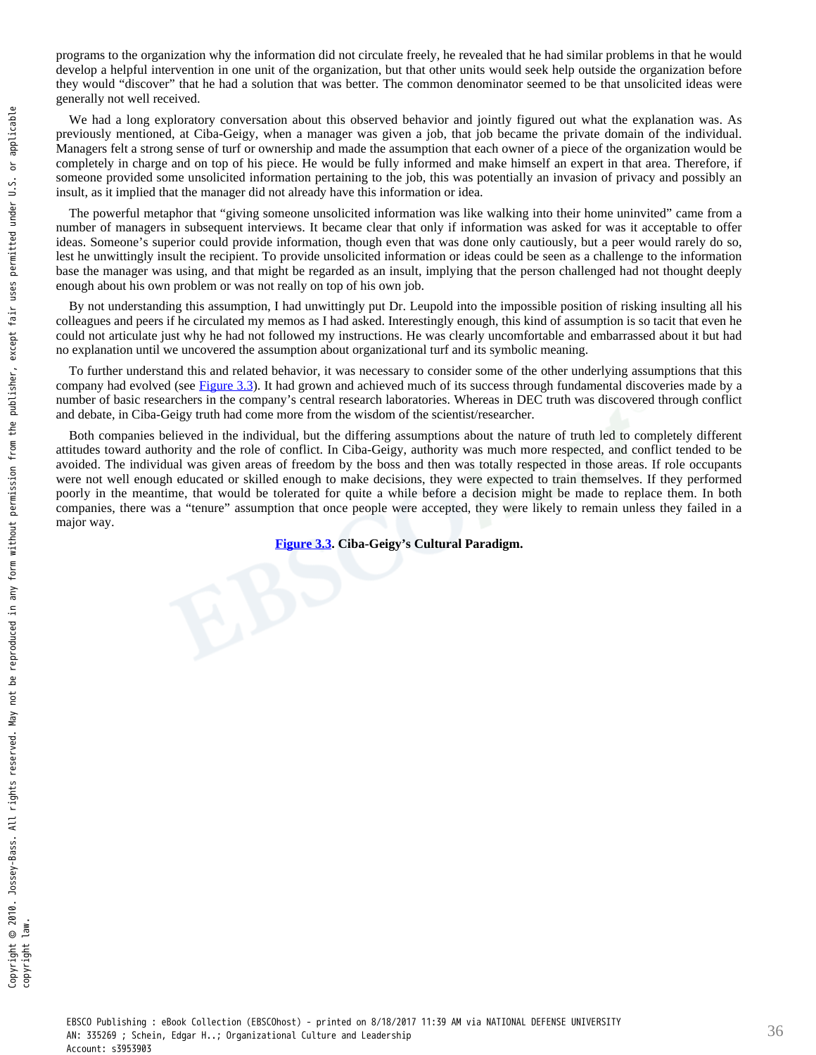programs to the organization why the information did not circulate freely, he revealed that he had similar problems in that he would develop a helpful intervention in one unit of the organization, but that other units would seek help outside the organization before they would "discover" that he had a solution that was better. The common denominator seemed to be that unsolicited ideas were generally not well received.

We had a long exploratory conversation about this observed behavior and jointly figured out what the explanation was. As previously mentioned, at Ciba-Geigy, when a manager was given a job, that job became the private domain of the individual. Managers felt a strong sense of turf or ownership and made the assumption that each owner of a piece of the organization would be completely in charge and on top of his piece. He would be fully informed and make himself an expert in that area. Therefore, if someone provided some unsolicited information pertaining to the job, this was potentially an invasion of privacy and possibly an insult, as it implied that the manager did not already have this information or idea.

The powerful metaphor that "giving someone unsolicited information was like walking into their home uninvited" came from a number of managers in subsequent interviews. It became clear that only if information was asked for was it acceptable to offer ideas. Someone's superior could provide information, though even that was done only cautiously, but a peer would rarely do so, lest he unwittingly insult the recipient. To provide unsolicited information or ideas could be seen as a challenge to the information base the manager was using, and that might be regarded as an insult, implying that the person challenged had not thought deeply enough about his own problem or was not really on top of his own job.

By not understanding this assumption, I had unwittingly put Dr. Leupold into the impossible position of risking insulting all his colleagues and peers if he circulated my memos as I had asked. Interestingly enough, this kind of assumption is so tacit that even he could not articulate just why he had not followed my instructions. He was clearly uncomfortable and embarrassed about it but had no explanation until we uncovered the assumption about organizational turf and its symbolic meaning.

To further understand this and related behavior, it was necessary to consider some of the other underlying assumptions that this company had evolved (see Figure 3.3). It had grown and achieved much of its success through fundamental discoveries made by a number of basic researchers in the company's central research laboratories. Whereas in DEC truth was discovered through conflict and debate, in Ciba-Geigy truth had come more from the wisdom of the scientist/researcher.

Both companies believed in the individual, but the differing assumptions about the nature of truth led to completely different attitudes toward authority and the role of conflict. In Ciba-Geigy, authority was much more respected, and conflict tended to be avoided. The individual was given areas of freedom by the boss and then was totally respected in those areas. If role occupants were not well enough educated or skilled enough to make decisions, they were expected to train themselves. If they performed poorly in the meantime, that would be tolerated for quite a while before a decision might be made to replace them. In both companies, there was a "tenure" assumption that once people were accepted, they were likely to remain unless they failed in a major way.

**Figure 3.3. Ciba-Geigy's Cultural Paradigm.**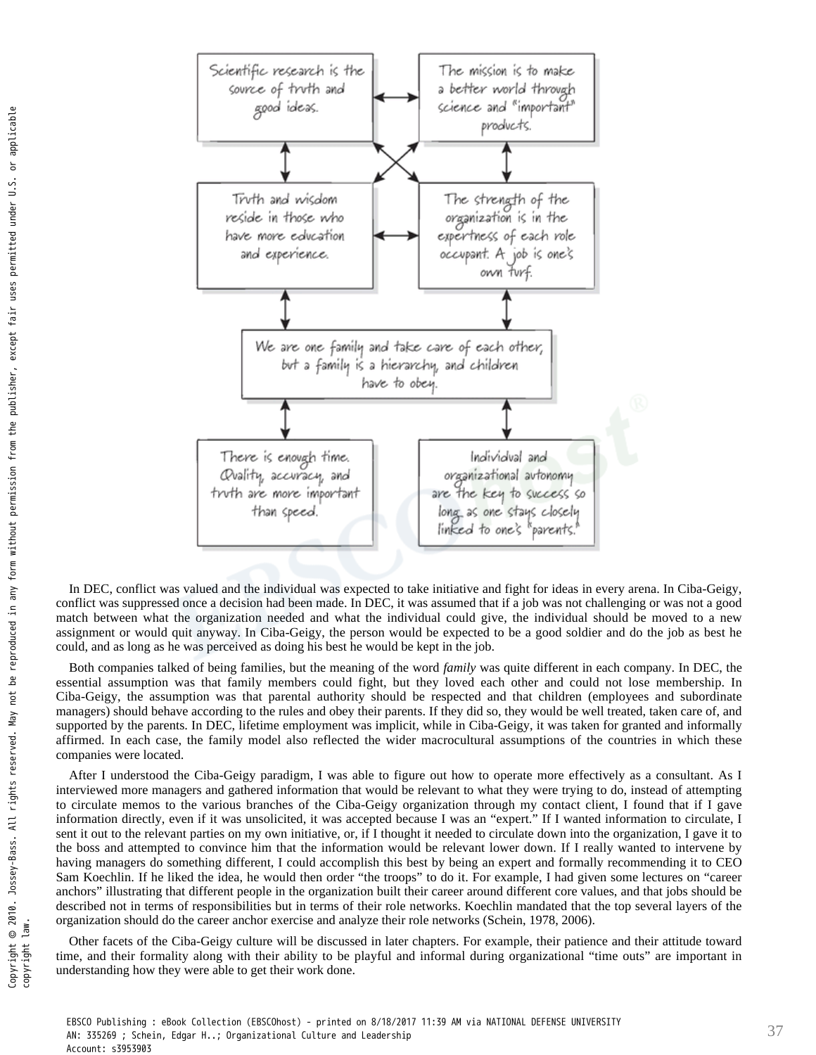

In DEC, conflict was valued and the individual was expected to take initiative and fight for ideas in every arena. In Ciba-Geigy, conflict was suppressed once a decision had been made. In DEC, it was assumed that if a job was not challenging or was not a good match between what the organization needed and what the individual could give, the individual should be moved to a new assignment or would quit anyway. In Ciba-Geigy, the person would be expected to be a good soldier and do the job as best he could, and as long as he was perceived as doing his best he would be kept in the job.

Both companies talked of being families, but the meaning of the word *family* was quite different in each company. In DEC, the essential assumption was that family members could fight, but they loved each other and could not lose membership. In Ciba-Geigy, the assumption was that parental authority should be respected and that children (employees and subordinate managers) should behave according to the rules and obey their parents. If they did so, they would be well treated, taken care of, and supported by the parents. In DEC, lifetime employment was implicit, while in Ciba-Geigy, it was taken for granted and informally affirmed. In each case, the family model also reflected the wider macrocultural assumptions of the countries in which these companies were located.

After I understood the Ciba-Geigy paradigm, I was able to figure out how to operate more effectively as a consultant. As I interviewed more managers and gathered information that would be relevant to what they were trying to do, instead of attempting to circulate memos to the various branches of the Ciba-Geigy organization through my contact client, I found that if I gave information directly, even if it was unsolicited, it was accepted because I was an "expert." If I wanted information to circulate, I sent it out to the relevant parties on my own initiative, or, if I thought it needed to circulate down into the organization, I gave it to the boss and attempted to convince him that the information would be relevant lower down. If I really wanted to intervene by having managers do something different, I could accomplish this best by being an expert and formally recommending it to CEO Sam Koechlin. If he liked the idea, he would then order "the troops" to do it. For example, I had given some lectures on "career anchors" illustrating that different people in the organization built their career around different core values, and that jobs should be described not in terms of responsibilities but in terms of their role networks. Koechlin mandated that the top several layers of the organization should do the career anchor exercise and analyze their role networks (Schein, 1978, 2006).

Other facets of the Ciba-Geigy culture will be discussed in later chapters. For example, their patience and their attitude toward time, and their formality along with their ability to be playful and informal during organizational "time outs" are important in understanding how they were able to get their work done.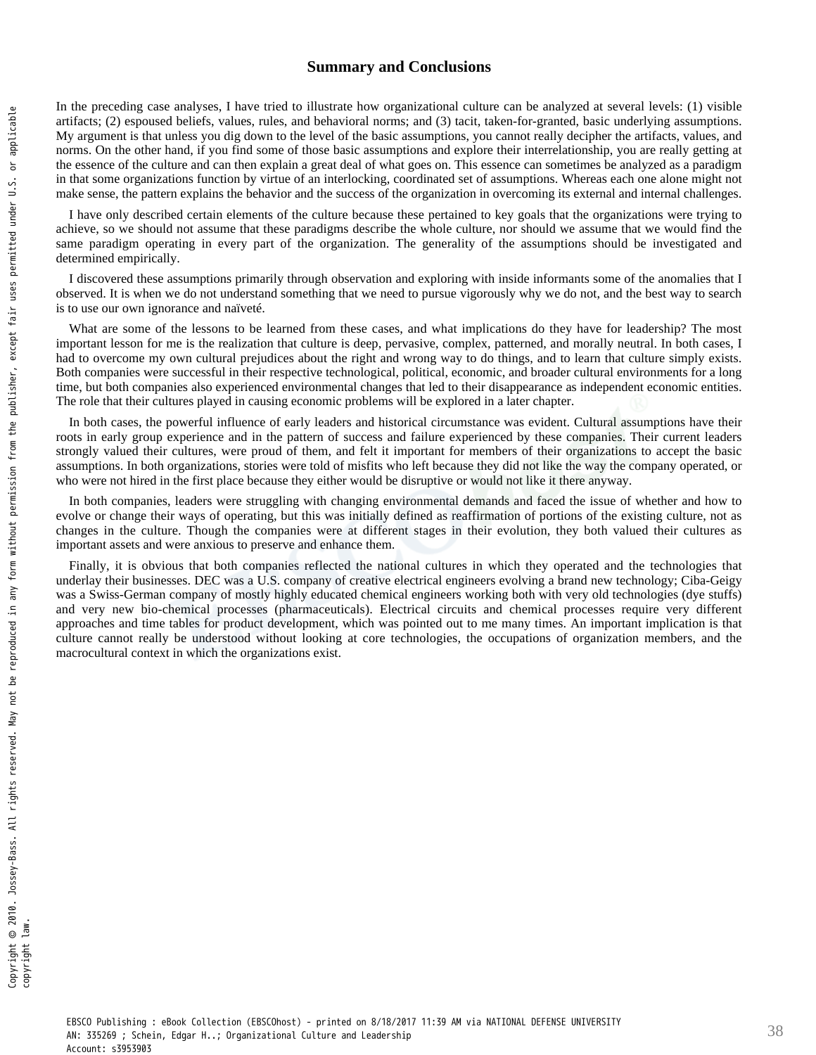# **Summary and Conclusions**

In the preceding case analyses, I have tried to illustrate how organizational culture can be analyzed at several levels: (1) visible artifacts; (2) espoused beliefs, values, rules, and behavioral norms; and (3) tacit, taken-for-granted, basic underlying assumptions. My argument is that unless you dig down to the level of the basic assumptions, you cannot really decipher the artifacts, values, and norms. On the other hand, if you find some of those basic assumptions and explore their interrelationship, you are really getting at the essence of the culture and can then explain a great deal of what goes on. This essence can sometimes be analyzed as a paradigm in that some organizations function by virtue of an interlocking, coordinated set of assumptions. Whereas each one alone might not make sense, the pattern explains the behavior and the success of the organization in overcoming its external and internal challenges.

I have only described certain elements of the culture because these pertained to key goals that the organizations were trying to achieve, so we should not assume that these paradigms describe the whole culture, nor should we assume that we would find the same paradigm operating in every part of the organization. The generality of the assumptions should be investigated and determined empirically.

I discovered these assumptions primarily through observation and exploring with inside informants some of the anomalies that I observed. It is when we do not understand something that we need to pursue vigorously why we do not, and the best way to search is to use our own ignorance and naïveté.

What are some of the lessons to be learned from these cases, and what implications do they have for leadership? The most important lesson for me is the realization that culture is deep, pervasive, complex, patterned, and morally neutral. In both cases, I had to overcome my own cultural prejudices about the right and wrong way to do things, and to learn that culture simply exists. Both companies were successful in their respective technological, political, economic, and broader cultural environments for a long time, but both companies also experienced environmental changes that led to their disappearance as independent economic entities. The role that their cultures played in causing economic problems will be explored in a later chapter.

In both cases, the powerful influence of early leaders and historical circumstance was evident. Cultural assumptions have their roots in early group experience and in the pattern of success and failure experienced by these companies. Their current leaders strongly valued their cultures, were proud of them, and felt it important for members of their organizations to accept the basic assumptions. In both organizations, stories were told of misfits who left because they did not like the way the company operated, or who were not hired in the first place because they either would be disruptive or would not like it there anyway.

In both companies, leaders were struggling with changing environmental demands and faced the issue of whether and how to evolve or change their ways of operating, but this was initially defined as reaffirmation of portions of the existing culture, not as changes in the culture. Though the companies were at different stages in their evolution, they both valued their cultures as important assets and were anxious to preserve and enhance them.

Finally, it is obvious that both companies reflected the national cultures in which they operated and the technologies that underlay their businesses. DEC was a U.S. company of creative electrical engineers evolving a brand new technology; Ciba-Geigy was a Swiss-German company of mostly highly educated chemical engineers working both with very old technologies (dye stuffs) and very new bio-chemical processes (pharmaceuticals). Electrical circuits and chemical processes require very different approaches and time tables for product development, which was pointed out to me many times. An important implication is that culture cannot really be understood without looking at core technologies, the occupations of organization members, and the macrocultural context in which the organizations exist.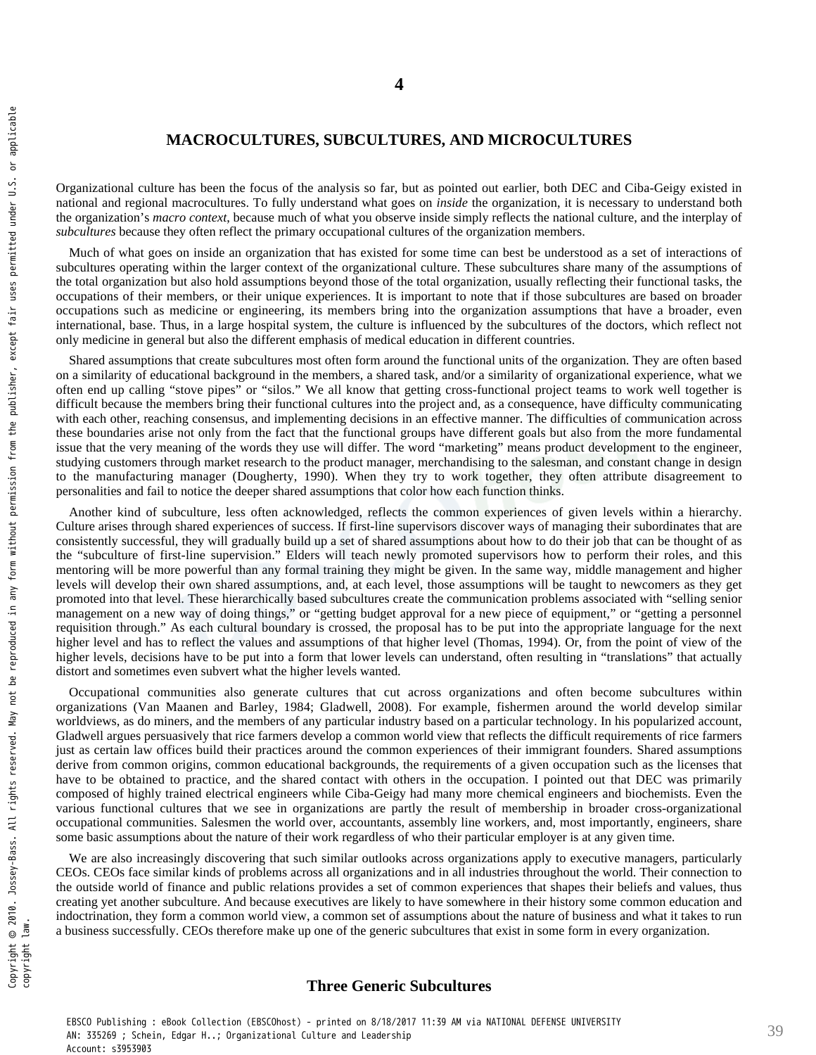# **MACROCULTURES, SUBCULTURES, AND MICROCULTURES**

Organizational culture has been the focus of the analysis so far, but as pointed out earlier, both DEC and Ciba-Geigy existed in national and regional macrocultures. To fully understand what goes on *inside* the organization, it is necessary to understand both the organization's *macro context*, because much of what you observe inside simply reflects the national culture, and the interplay of *subcultures* because they often reflect the primary occupational cultures of the organization members.

Much of what goes on inside an organization that has existed for some time can best be understood as a set of interactions of subcultures operating within the larger context of the organizational culture. These subcultures share many of the assumptions of the total organization but also hold assumptions beyond those of the total organization, usually reflecting their functional tasks, the occupations of their members, or their unique experiences. It is important to note that if those subcultures are based on broader occupations such as medicine or engineering, its members bring into the organization assumptions that have a broader, even international, base. Thus, in a large hospital system, the culture is influenced by the subcultures of the doctors, which reflect not only medicine in general but also the different emphasis of medical education in different countries.

Shared assumptions that create subcultures most often form around the functional units of the organization. They are often based on a similarity of educational background in the members, a shared task, and/or a similarity of organizational experience, what we often end up calling "stove pipes" or "silos." We all know that getting cross-functional project teams to work well together is difficult because the members bring their functional cultures into the project and, as a consequence, have difficulty communicating with each other, reaching consensus, and implementing decisions in an effective manner. The difficulties of communication across these boundaries arise not only from the fact that the functional groups have different goals but also from the more fundamental issue that the very meaning of the words they use will differ. The word "marketing" means product development to the engineer, studying customers through market research to the product manager, merchandising to the salesman, and constant change in design to the manufacturing manager (Dougherty, 1990). When they try to work together, they often attribute disagreement to personalities and fail to notice the deeper shared assumptions that color how each function thinks.

Another kind of subculture, less often acknowledged, reflects the common experiences of given levels within a hierarchy. Culture arises through shared experiences of success. If first-line supervisors discover ways of managing their subordinates that are consistently successful, they will gradually build up a set of shared assumptions about how to do their job that can be thought of as the "subculture of first-line supervision." Elders will teach newly promoted supervisors how to perform their roles, and this mentoring will be more powerful than any formal training they might be given. In the same way, middle management and higher levels will develop their own shared assumptions, and, at each level, those assumptions will be taught to newcomers as they get promoted into that level. These hierarchically based subcultures create the communication problems associated with "selling senior management on a new way of doing things," or "getting budget approval for a new piece of equipment," or "getting a personnel requisition through." As each cultural boundary is crossed, the proposal has to be put into the appropriate language for the next higher level and has to reflect the values and assumptions of that higher level (Thomas, 1994). Or, from the point of view of the higher levels, decisions have to be put into a form that lower levels can understand, often resulting in "translations" that actually distort and sometimes even subvert what the higher levels wanted.

Occupational communities also generate cultures that cut across organizations and often become subcultures within organizations (Van Maanen and Barley, 1984; Gladwell, 2008). For example, fishermen around the world develop similar worldviews, as do miners, and the members of any particular industry based on a particular technology. In his popularized account, Gladwell argues persuasively that rice farmers develop a common world view that reflects the difficult requirements of rice farmers just as certain law offices build their practices around the common experiences of their immigrant founders. Shared assumptions derive from common origins, common educational backgrounds, the requirements of a given occupation such as the licenses that have to be obtained to practice, and the shared contact with others in the occupation. I pointed out that DEC was primarily composed of highly trained electrical engineers while Ciba-Geigy had many more chemical engineers and biochemists. Even the various functional cultures that we see in organizations are partly the result of membership in broader cross-organizational occupational communities. Salesmen the world over, accountants, assembly line workers, and, most importantly, engineers, share some basic assumptions about the nature of their work regardless of who their particular employer is at any given time.

We are also increasingly discovering that such similar outlooks across organizations apply to executive managers, particularly CEOs. CEOs face similar kinds of problems across all organizations and in all industries throughout the world. Their connection to the outside world of finance and public relations provides a set of common experiences that shapes their beliefs and values, thus creating yet another subculture. And because executives are likely to have somewhere in their history some common education and indoctrination, they form a common world view, a common set of assumptions about the nature of business and what it takes to run a business successfully. CEOs therefore make up one of the generic subcultures that exist in some form in every organization.

### **Three Generic Subcultures**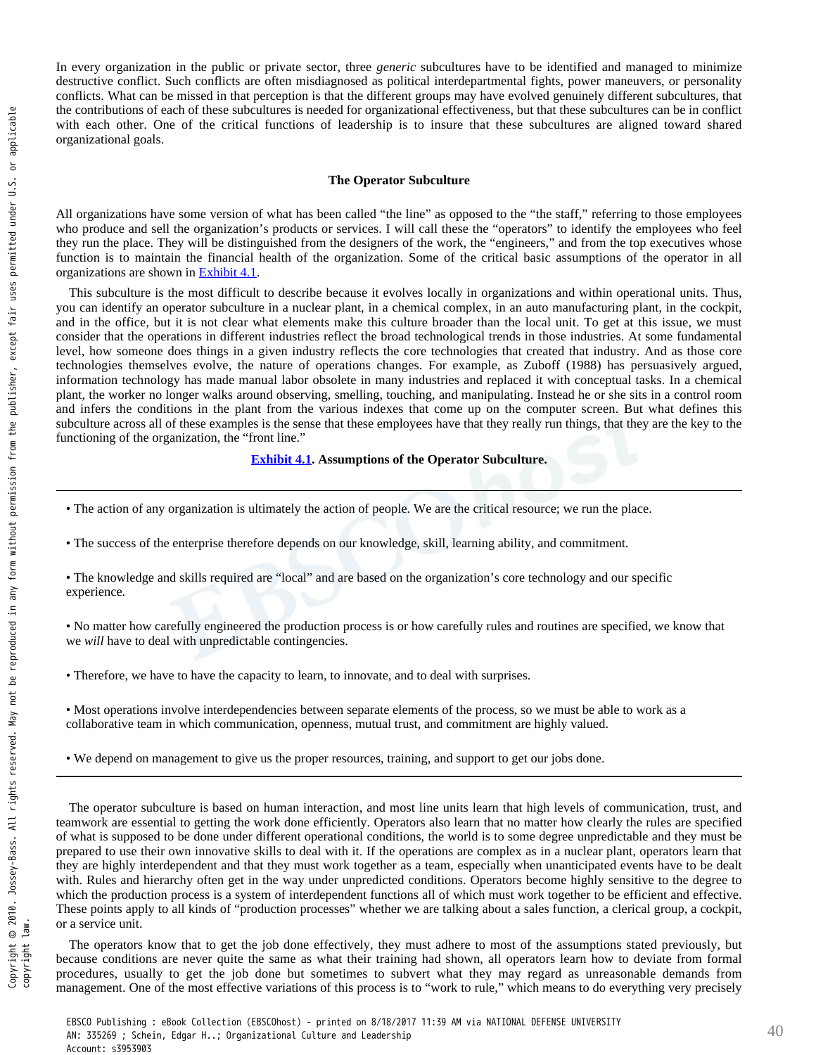In every organization in the public or private sector, three *generic* subcultures have to be identified and managed to minimize destructive conflict. Such conflicts are often misdiagnosed as political interdepartmental fights, power maneuvers, or personality conflicts. What can be missed in that perception is that the different groups may have evolved genuinely different subcultures, that the contributions of each of these subcultures is needed for organizational effectiveness, but that these subcultures can be in conflict with each other. One of the critical functions of leadership is to insure that these subcultures are aligned toward shared organizational goals.

### **The Operator Subculture**

All organizations have some version of what has been called "the line" as opposed to the "the staff," referring to those employees who produce and sell the organization's products or services. I will call these the "operators" to identify the employees who feel they run the place. They will be distinguished from the designers of the work, the "engineers," and from the top executives whose function is to maintain the financial health of the organization. Some of the critical basic assumptions of the operator in all organizations are shown in Exhibit 4.1.

This subculture is the most difficult to describe because it evolves locally in organizations and within operational units. Thus, you can identify an operator subculture in a nuclear plant, in a chemical complex, in an auto manufacturing plant, in the cockpit, and in the office, but it is not clear what elements make this culture broader than the local unit. To get at this issue, we must consider that the operations in different industries reflect the broad technological trends in those industries. At some fundamental level, how someone does things in a given industry reflects the core technologies that created that industry. And as those core technologies themselves evolve, the nature of operations changes. For example, as Zuboff (1988) has persuasively argued, information technology has made manual labor obsolete in many industries and replaced it with conceptual tasks. In a chemical plant, the worker no longer walks around observing, smelling, touching, and manipulating. Instead he or she sits in a control room and infers the conditions in the plant from the various indexes that come up on the computer screen. But what defines this subculture across all of these examples is the sense that these employees have that they really run things, that they are the key to the functioning of the organization, the "front line."

### **Exhibit 4.1. Assumptions of the Operator Subculture.**

- The action of any organization is ultimately the action of people. We are the critical resource; we run the place.
- The success of the enterprise therefore depends on our knowledge, skill, learning ability, and commitment.

• The knowledge and skills required are "local" and are based on the organization's core technology and our specific experience.

• No matter how carefully engineered the production process is or how carefully rules and routines are specified, we know that we *will* have to deal with unpredictable contingencies.

• Therefore, we have to have the capacity to learn, to innovate, and to deal with surprises.

• Most operations involve interdependencies between separate elements of the process, so we must be able to work as a collaborative team in which communication, openness, mutual trust, and commitment are highly valued.

• We depend on management to give us the proper resources, training, and support to get our jobs done.

The operator subculture is based on human interaction, and most line units learn that high levels of communication, trust, and teamwork are essential to getting the work done efficiently. Operators also learn that no matter how clearly the rules are specified of what is supposed to be done under different operational conditions, the world is to some degree unpredictable and they must be prepared to use their own innovative skills to deal with it. If the operations are complex as in a nuclear plant, operators learn that they are highly interdependent and that they must work together as a team, especially when unanticipated events have to be dealt with. Rules and hierarchy often get in the way under unpredicted conditions. Operators become highly sensitive to the degree to which the production process is a system of interdependent functions all of which must work together to be efficient and effective. These points apply to all kinds of "production processes" whether we are talking about a sales function, a clerical group, a cockpit, or a service unit.

The operators know that to get the job done effectively, they must adhere to most of the assumptions stated previously, but because conditions are never quite the same as what their training had shown, all operators learn how to deviate from formal procedures, usually to get the job done but sometimes to subvert what they may regard as unreasonable demands from management. One of the most effective variations of this process is to "work to rule," which means to do everything very precisely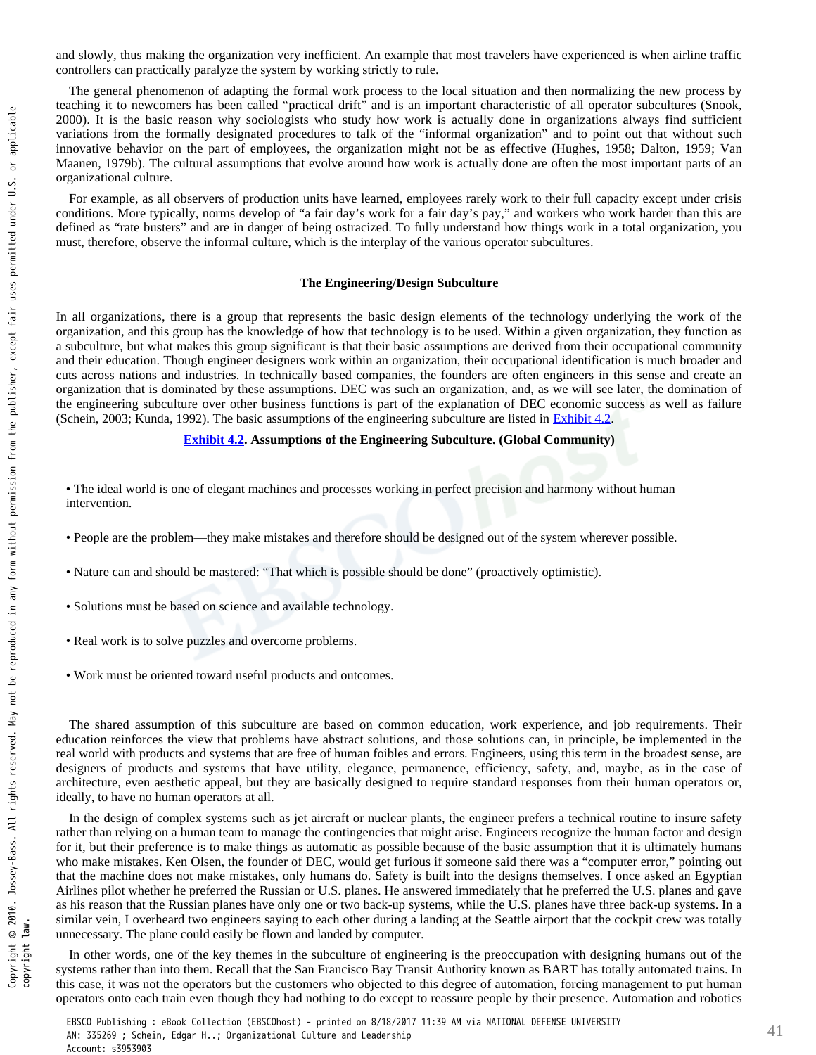and slowly, thus making the organization very inefficient. An example that most travelers have experienced is when airline traffic controllers can practically paralyze the system by working strictly to rule.

The general phenomenon of adapting the formal work process to the local situation and then normalizing the new process by teaching it to newcomers has been called "practical drift" and is an important characteristic of all operator subcultures (Snook, 2000). It is the basic reason why sociologists who study how work is actually done in organizations always find sufficient variations from the formally designated procedures to talk of the "informal organization" and to point out that without such innovative behavior on the part of employees, the organization might not be as effective (Hughes, 1958; Dalton, 1959; Van Maanen, 1979b). The cultural assumptions that evolve around how work is actually done are often the most important parts of an organizational culture.

For example, as all observers of production units have learned, employees rarely work to their full capacity except under crisis conditions. More typically, norms develop of "a fair day's work for a fair day's pay," and workers who work harder than this are defined as "rate busters" and are in danger of being ostracized. To fully understand how things work in a total organization, you must, therefore, observe the informal culture, which is the interplay of the various operator subcultures.

#### **The Engineering/Design Subculture**

In all organizations, there is a group that represents the basic design elements of the technology underlying the work of the organization, and this group has the knowledge of how that technology is to be used. Within a given organization, they function as a subculture, but what makes this group significant is that their basic assumptions are derived from their occupational community and their education. Though engineer designers work within an organization, their occupational identification is much broader and cuts across nations and industries. In technically based companies, the founders are often engineers in this sense and create an organization that is dominated by these assumptions. DEC was such an organization, and, as we will see later, the domination of the engineering subculture over other business functions is part of the explanation of DEC economic success as well as failure (Schein, 2003; Kunda, 1992). The basic assumptions of the engineering subculture are listed in Exhibit 4.2.

### **Exhibit 4.2. Assumptions of the Engineering Subculture. (Global Community)**

• The ideal world is one of elegant machines and processes working in perfect precision and harmony without human intervention.

- People are the problem—they make mistakes and therefore should be designed out of the system wherever possible.
- Nature can and should be mastered: "That which is possible should be done" (proactively optimistic).
- Solutions must be based on science and available technology.
- Real work is to solve puzzles and overcome problems.
- Work must be oriented toward useful products and outcomes.

The shared assumption of this subculture are based on common education, work experience, and job requirements. Their education reinforces the view that problems have abstract solutions, and those solutions can, in principle, be implemented in the real world with products and systems that are free of human foibles and errors. Engineers, using this term in the broadest sense, are designers of products and systems that have utility, elegance, permanence, efficiency, safety, and, maybe, as in the case of architecture, even aesthetic appeal, but they are basically designed to require standard responses from their human operators or, ideally, to have no human operators at all.

In the design of complex systems such as jet aircraft or nuclear plants, the engineer prefers a technical routine to insure safety rather than relying on a human team to manage the contingencies that might arise. Engineers recognize the human factor and design for it, but their preference is to make things as automatic as possible because of the basic assumption that it is ultimately humans who make mistakes. Ken Olsen, the founder of DEC, would get furious if someone said there was a "computer error," pointing out that the machine does not make mistakes, only humans do. Safety is built into the designs themselves. I once asked an Egyptian Airlines pilot whether he preferred the Russian or U.S. planes. He answered immediately that he preferred the U.S. planes and gave as his reason that the Russian planes have only one or two back-up systems, while the U.S. planes have three back-up systems. In a similar vein, I overheard two engineers saying to each other during a landing at the Seattle airport that the cockpit crew was totally unnecessary. The plane could easily be flown and landed by computer.

In other words, one of the key themes in the subculture of engineering is the preoccupation with designing humans out of the systems rather than into them. Recall that the San Francisco Bay Transit Authority known as BART has totally automated trains. In this case, it was not the operators but the customers who objected to this degree of automation, forcing management to put human operators onto each train even though they had nothing to do except to reassure people by their presence. Automation and robotics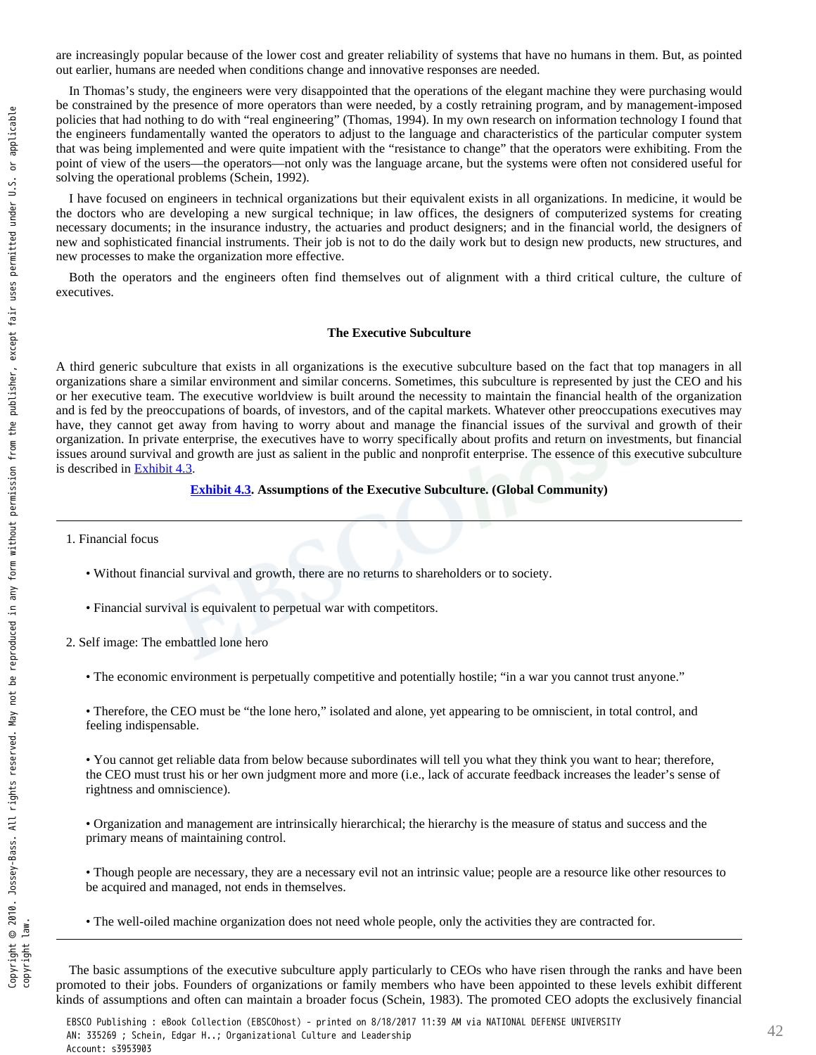are increasingly popular because of the lower cost and greater reliability of systems that have no humans in them. But, as pointed out earlier, humans are needed when conditions change and innovative responses are needed.

In Thomas's study, the engineers were very disappointed that the operations of the elegant machine they were purchasing would be constrained by the presence of more operators than were needed, by a costly retraining program, and by management-imposed policies that had nothing to do with "real engineering" (Thomas, 1994). In my own research on information technology I found that the engineers fundamentally wanted the operators to adjust to the language and characteristics of the particular computer system that was being implemented and were quite impatient with the "resistance to change" that the operators were exhibiting. From the point of view of the users—the operators—not only was the language arcane, but the systems were often not considered useful for solving the operational problems (Schein, 1992).

I have focused on engineers in technical organizations but their equivalent exists in all organizations. In medicine, it would be the doctors who are developing a new surgical technique; in law offices, the designers of computerized systems for creating necessary documents; in the insurance industry, the actuaries and product designers; and in the financial world, the designers of new and sophisticated financial instruments. Their job is not to do the daily work but to design new products, new structures, and new processes to make the organization more effective.

Both the operators and the engineers often find themselves out of alignment with a third critical culture, the culture of executives.

### **The Executive Subculture**

A third generic subculture that exists in all organizations is the executive subculture based on the fact that top managers in all organizations share a similar environment and similar concerns. Sometimes, this subculture is represented by just the CEO and his or her executive team. The executive worldview is built around the necessity to maintain the financial health of the organization and is fed by the preoccupations of boards, of investors, and of the capital markets. Whatever other preoccupations executives may have, they cannot get away from having to worry about and manage the financial issues of the survival and growth of their organization. In private enterprise, the executives have to worry specifically about profits and return on investments, but financial issues around survival and growth are just as salient in the public and nonprofit enterprise. The essence of this executive subculture is described in Exhibit 4.3.

### **Exhibit 4.3. Assumptions of the Executive Subculture. (Global Community)**

1. Financial focus

- Without financial survival and growth, there are no returns to shareholders or to society.
- Financial survival is equivalent to perpetual war with competitors.

2. Self image: The embattled lone hero

• The economic environment is perpetually competitive and potentially hostile; "in a war you cannot trust anyone."

• Therefore, the CEO must be "the lone hero," isolated and alone, yet appearing to be omniscient, in total control, and feeling indispensable.

• You cannot get reliable data from below because subordinates will tell you what they think you want to hear; therefore, the CEO must trust his or her own judgment more and more (i.e., lack of accurate feedback increases the leader's sense of rightness and omniscience).

• Organization and management are intrinsically hierarchical; the hierarchy is the measure of status and success and the primary means of maintaining control.

• Though people are necessary, they are a necessary evil not an intrinsic value; people are a resource like other resources to be acquired and managed, not ends in themselves.

• The well-oiled machine organization does not need whole people, only the activities they are contracted for.

The basic assumptions of the executive subculture apply particularly to CEOs who have risen through the ranks and have been promoted to their jobs. Founders of organizations or family members who have been appointed to these levels exhibit different kinds of assumptions and often can maintain a broader focus (Schein, 1983). The promoted CEO adopts the exclusively financial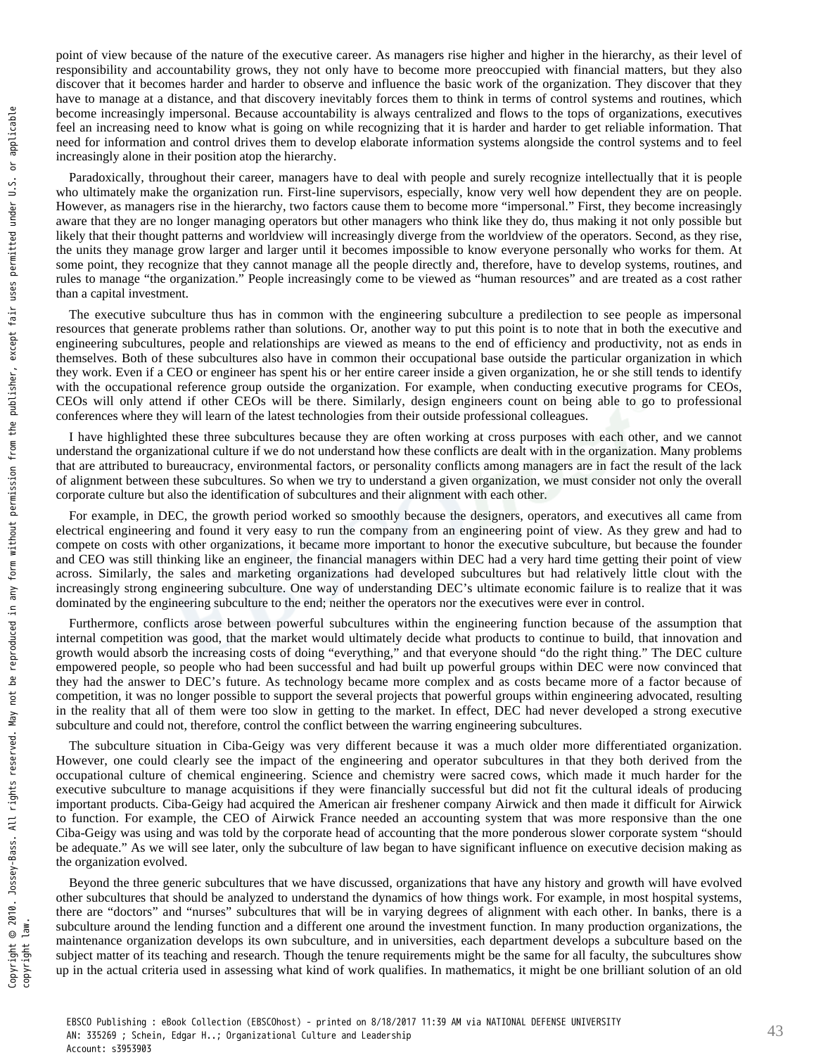point of view because of the nature of the executive career. As managers rise higher and higher in the hierarchy, as their level of responsibility and accountability grows, they not only have to become more preoccupied with financial matters, but they also discover that it becomes harder and harder to observe and influence the basic work of the organization. They discover that they have to manage at a distance, and that discovery inevitably forces them to think in terms of control systems and routines, which become increasingly impersonal. Because accountability is always centralized and flows to the tops of organizations, executives feel an increasing need to know what is going on while recognizing that it is harder and harder to get reliable information. That need for information and control drives them to develop elaborate information systems alongside the control systems and to feel increasingly alone in their position atop the hierarchy.

Paradoxically, throughout their career, managers have to deal with people and surely recognize intellectually that it is people who ultimately make the organization run. First-line supervisors, especially, know very well how dependent they are on people. However, as managers rise in the hierarchy, two factors cause them to become more "impersonal." First, they become increasingly aware that they are no longer managing operators but other managers who think like they do, thus making it not only possible but likely that their thought patterns and worldview will increasingly diverge from the worldview of the operators. Second, as they rise, the units they manage grow larger and larger until it becomes impossible to know everyone personally who works for them. At some point, they recognize that they cannot manage all the people directly and, therefore, have to develop systems, routines, and rules to manage "the organization." People increasingly come to be viewed as "human resources" and are treated as a cost rather than a capital investment.

The executive subculture thus has in common with the engineering subculture a predilection to see people as impersonal resources that generate problems rather than solutions. Or, another way to put this point is to note that in both the executive and engineering subcultures, people and relationships are viewed as means to the end of efficiency and productivity, not as ends in themselves. Both of these subcultures also have in common their occupational base outside the particular organization in which they work. Even if a CEO or engineer has spent his or her entire career inside a given organization, he or she still tends to identify with the occupational reference group outside the organization. For example, when conducting executive programs for CEOs, CEOs will only attend if other CEOs will be there. Similarly, design engineers count on being able to go to professional conferences where they will learn of the latest technologies from their outside professional colleagues.

I have highlighted these three subcultures because they are often working at cross purposes with each other, and we cannot understand the organizational culture if we do not understand how these conflicts are dealt with in the organization. Many problems that are attributed to bureaucracy, environmental factors, or personality conflicts among managers are in fact the result of the lack of alignment between these subcultures. So when we try to understand a given organization, we must consider not only the overall corporate culture but also the identification of subcultures and their alignment with each other.

For example, in DEC, the growth period worked so smoothly because the designers, operators, and executives all came from electrical engineering and found it very easy to run the company from an engineering point of view. As they grew and had to compete on costs with other organizations, it became more important to honor the executive subculture, but because the founder and CEO was still thinking like an engineer, the financial managers within DEC had a very hard time getting their point of view across. Similarly, the sales and marketing organizations had developed subcultures but had relatively little clout with the increasingly strong engineering subculture. One way of understanding DEC's ultimate economic failure is to realize that it was dominated by the engineering subculture to the end; neither the operators nor the executives were ever in control.

Furthermore, conflicts arose between powerful subcultures within the engineering function because of the assumption that internal competition was good, that the market would ultimately decide what products to continue to build, that innovation and growth would absorb the increasing costs of doing "everything," and that everyone should "do the right thing." The DEC culture empowered people, so people who had been successful and had built up powerful groups within DEC were now convinced that they had the answer to DEC's future. As technology became more complex and as costs became more of a factor because of competition, it was no longer possible to support the several projects that powerful groups within engineering advocated, resulting in the reality that all of them were too slow in getting to the market. In effect, DEC had never developed a strong executive subculture and could not, therefore, control the conflict between the warring engineering subcultures.

The subculture situation in Ciba-Geigy was very different because it was a much older more differentiated organization. However, one could clearly see the impact of the engineering and operator subcultures in that they both derived from the occupational culture of chemical engineering. Science and chemistry were sacred cows, which made it much harder for the executive subculture to manage acquisitions if they were financially successful but did not fit the cultural ideals of producing important products. Ciba-Geigy had acquired the American air freshener company Airwick and then made it difficult for Airwick to function. For example, the CEO of Airwick France needed an accounting system that was more responsive than the one Ciba-Geigy was using and was told by the corporate head of accounting that the more ponderous slower corporate system "should be adequate." As we will see later, only the subculture of law began to have significant influence on executive decision making as the organization evolved.

Beyond the three generic subcultures that we have discussed, organizations that have any history and growth will have evolved other subcultures that should be analyzed to understand the dynamics of how things work. For example, in most hospital systems, there are "doctors" and "nurses" subcultures that will be in varying degrees of alignment with each other. In banks, there is a subculture around the lending function and a different one around the investment function. In many production organizations, the maintenance organization develops its own subculture, and in universities, each department develops a subculture based on the subject matter of its teaching and research. Though the tenure requirements might be the same for all faculty, the subcultures show up in the actual criteria used in assessing what kind of work qualifies. In mathematics, it might be one brilliant solution of an old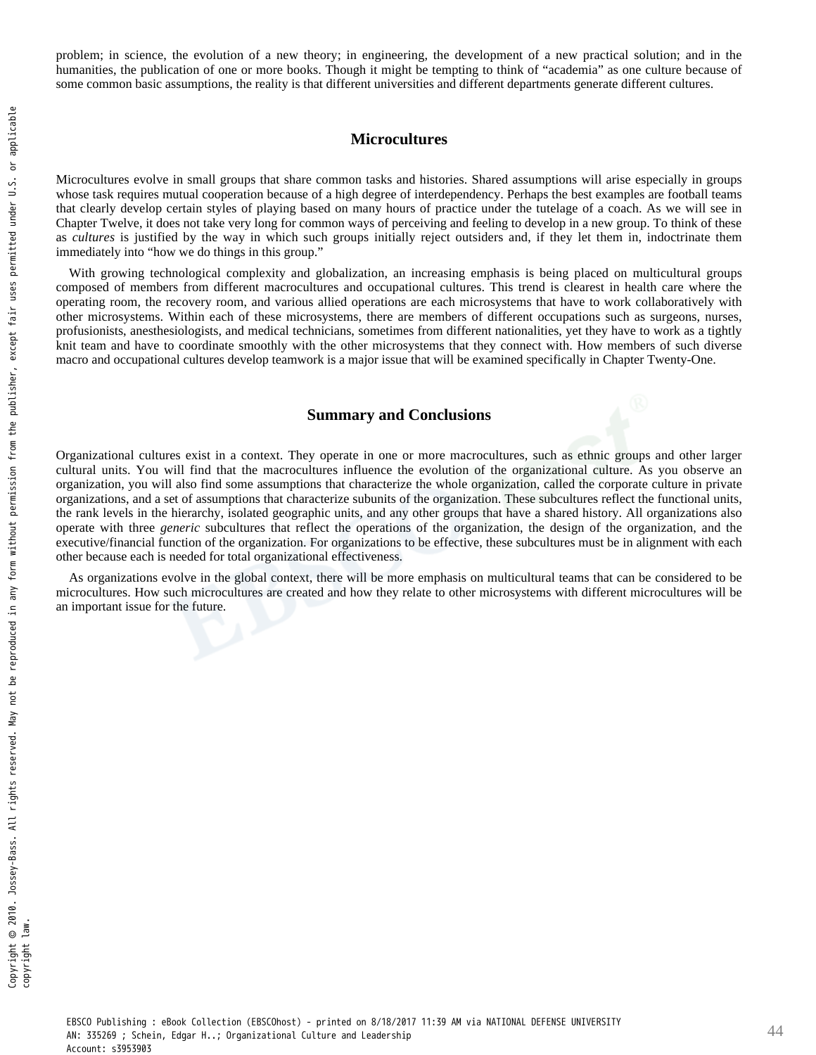problem; in science, the evolution of a new theory; in engineering, the development of a new practical solution; and in the humanities, the publication of one or more books. Though it might be tempting to think of "academia" as one culture because of some common basic assumptions, the reality is that different universities and different departments generate different cultures.

## **Microcultures**

Microcultures evolve in small groups that share common tasks and histories. Shared assumptions will arise especially in groups whose task requires mutual cooperation because of a high degree of interdependency. Perhaps the best examples are football teams that clearly develop certain styles of playing based on many hours of practice under the tutelage of a coach. As we will see in Chapter Twelve, it does not take very long for common ways of perceiving and feeling to develop in a new group. To think of these as *cultures* is justified by the way in which such groups initially reject outsiders and, if they let them in, indoctrinate them immediately into "how we do things in this group."

With growing technological complexity and globalization, an increasing emphasis is being placed on multicultural groups composed of members from different macrocultures and occupational cultures. This trend is clearest in health care where the operating room, the recovery room, and various allied operations are each microsystems that have to work collaboratively with other microsystems. Within each of these microsystems, there are members of different occupations such as surgeons, nurses, profusionists, anesthesiologists, and medical technicians, sometimes from different nationalities, yet they have to work as a tightly knit team and have to coordinate smoothly with the other microsystems that they connect with. How members of such diverse macro and occupational cultures develop teamwork is a major issue that will be examined specifically in Chapter Twenty-One.

## **Summary and Conclusions**

Organizational cultures exist in a context. They operate in one or more macrocultures, such as ethnic groups and other larger cultural units. You will find that the macrocultures influence the evolution of the organizational culture. As you observe an organization, you will also find some assumptions that characterize the whole organization, called the corporate culture in private organizations, and a set of assumptions that characterize subunits of the organization. These subcultures reflect the functional units, the rank levels in the hierarchy, isolated geographic units, and any other groups that have a shared history. All organizations also operate with three *generic* subcultures that reflect the operations of the organization, the design of the organization, and the executive/financial function of the organization. For organizations to be effective, these subcultures must be in alignment with each other because each is needed for total organizational effectiveness.

As organizations evolve in the global context, there will be more emphasis on multicultural teams that can be considered to be microcultures. How such microcultures are created and how they relate to other microsystems with different microcultures will be an important issue for the future.

copyright law.